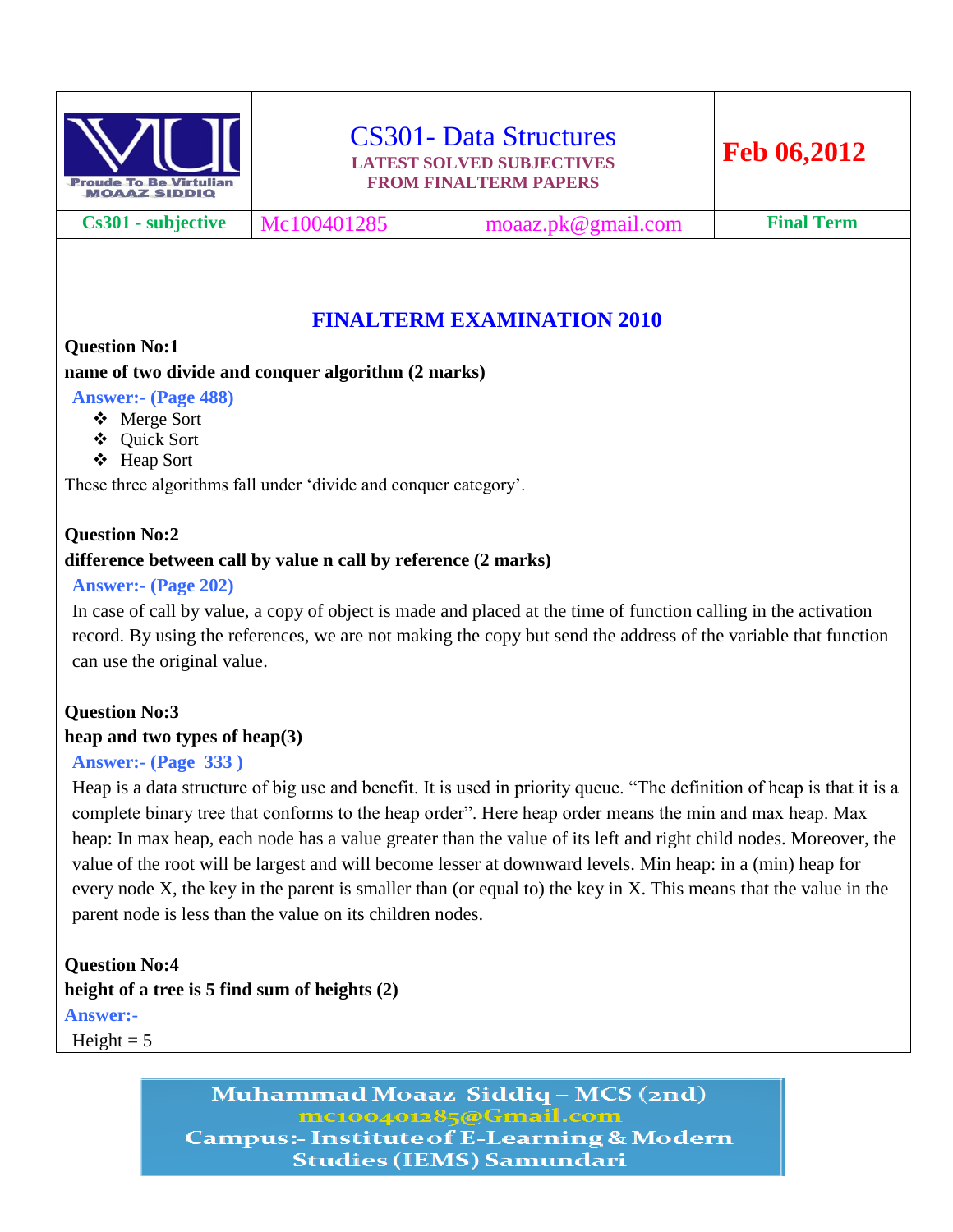

**Cs301 - subjective** Mc100401285 moaaz.pk@gmail.com **Final Term**

# **FINALTERM EXAMINATION 2010**

## **Question No:1**

## **name of two divide and conquer algorithm (2 marks)**

**Answer:- (Page 488)**

- Merge Sort
- Quick Sort
- Heap Sort

These three algorithms fall under 'divide and conquer category'.

# **Question No:2**

## **difference between call by value n call by reference (2 marks)**

## **Answer:- (Page 202)**

In case of call by value, a copy of object is made and placed at the time of function calling in the activation record. By using the references, we are not making the copy but send the address of the variable that function can use the original value.

## **Question No:3 heap and two types of heap(3)**

## **Answer:- (Page 333 )**

Heap is a data structure of big use and benefit. It is used in priority queue. "The definition of heap is that it is a complete binary tree that conforms to the heap order". Here heap order means the min and max heap. Max heap: In max heap, each node has a value greater than the value of its left and right child nodes. Moreover, the value of the root will be largest and will become lesser at downward levels. Min heap: in a (min) heap for every node X, the key in the parent is smaller than (or equal to) the key in X. This means that the value in the parent node is less than the value on its children nodes.

# **Question No:4 height of a tree is 5 find sum of heights (2) Answer:-**

Height  $= 5$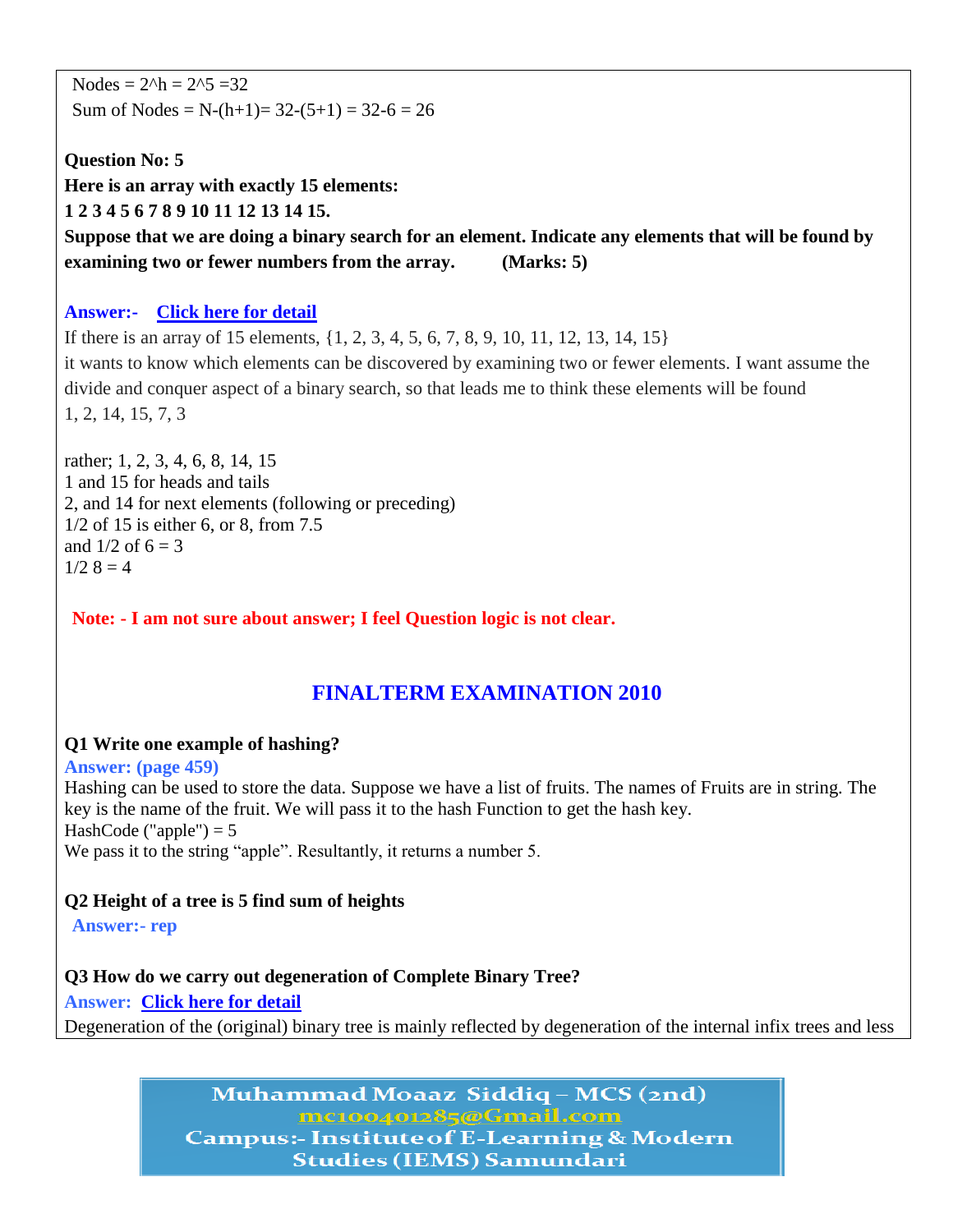Nodes =  $2^h$ h =  $2^s$  =  $32$ Sum of Nodes = N- $(h+1)$ = 32- $(5+1)$  = 32- $6$  = 26

**Question No: 5 Here is an array with exactly 15 elements: 1 2 3 4 5 6 7 8 9 10 11 12 13 14 15. Suppose that we are doing a binary search for an element. Indicate any elements that will be found by examining two or fewer numbers from the array. (Marks: 5)**

#### **Answer:- [Click here for detail](http://www.dreamincode.net/forums/topic/259332-serial-search-of-an-array-and-binary-search/)**

If there is an array of 15 elements, {1, 2, 3, 4, 5, 6, 7, 8, 9, 10, 11, 12, 13, 14, 15} it wants to know which elements can be discovered by examining two or fewer elements. I want assume the divide and conquer aspect of a binary search, so that leads me to think these elements will be found 1, 2, 14, 15, 7, 3

rather; 1, 2, 3, 4, 6, 8, 14, 15 1 and 15 for heads and tails 2, and 14 for next elements (following or preceding) 1/2 of 15 is either 6, or 8, from 7.5 and  $1/2$  of  $6 = 3$  $1/2$   $8 = 4$ 

**Note: - I am not sure about answer; I feel Question logic is not clear.**

## **FINALTERM EXAMINATION 2010**

#### **Q1 Write one example of hashing?**

**Answer: (page 459)**

Hashing can be used to store the data. Suppose we have a list of fruits. The names of Fruits are in string. The key is the name of the fruit. We will pass it to the hash Function to get the hash key. HashCode ("apple")  $= 5$ We pass it to the string "apple". Resultantly, it returns a number 5.

#### **Q2 Height of a tree is 5 find sum of heights**

**Answer:- rep**

**Q3 How do we carry out degeneration of Complete Binary Tree?**

**Answer: [Click here for detail](http://books.google.com.pk/books?id=LVLjfM_ZDQUC&pg=PA265&lpg=PA265&dq=degeneration+of+Complete+Binary+Tree&source=bl&ots=dGRndTHlK7&sig=Vi9ds0FwkgrnBWkziA1ZUnv3lqM&hl=en&sa=X&ei=bBstT9y2H8idOuez0ekN&sqi=2&ved=0CDsQ6AEwBQ#v=onepage&q=degeneration%20of%20C)**

Degeneration of the (original) binary tree is mainly reflected by degeneration of the internal infix trees and less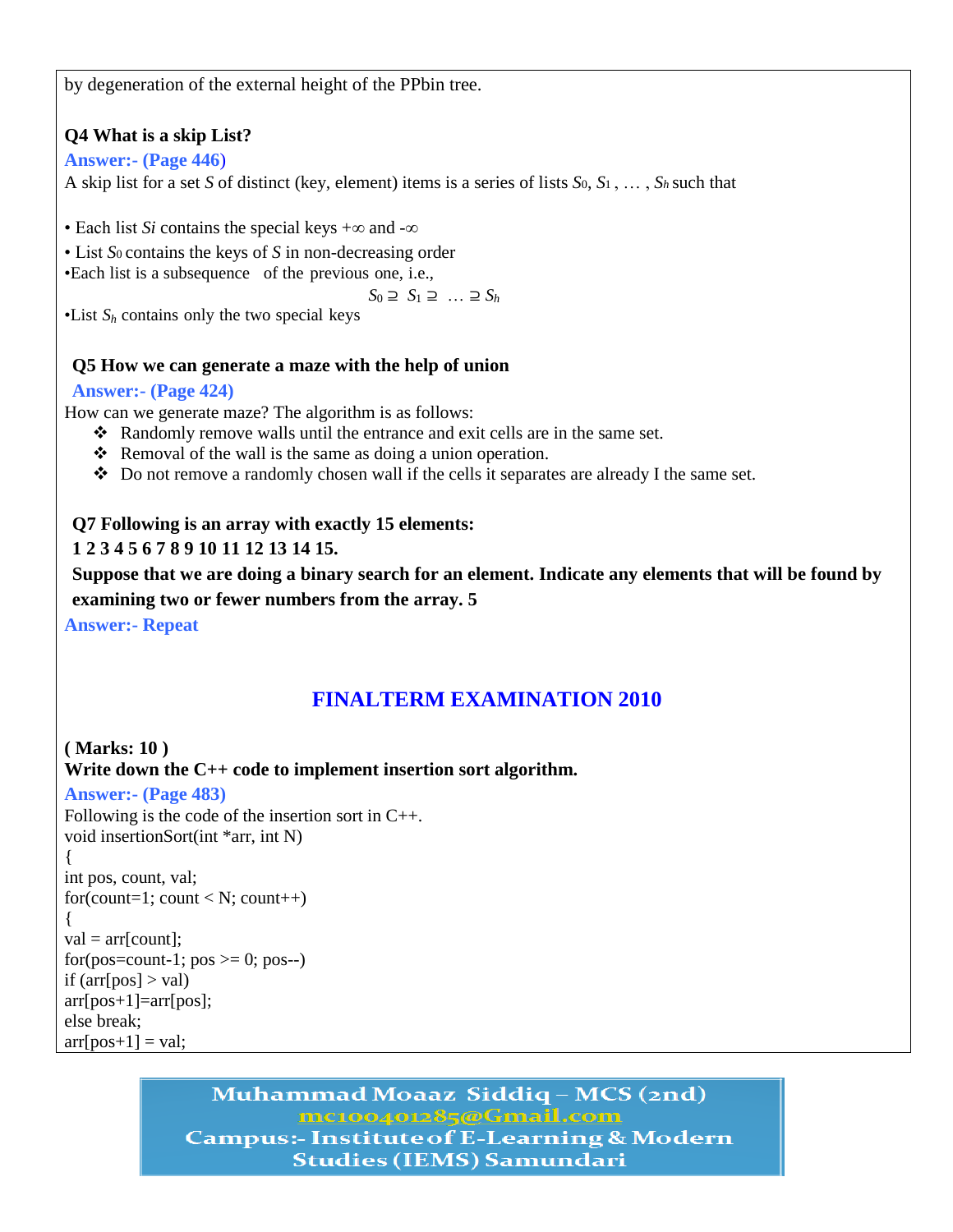by degeneration of the external height of the PPbin tree.

## **Q4 What is a skip List?**

### **Answer:- (Page 446**)

A skip list for a set *S* of distinct (key, element) items is a series of lists *S*0, *S*1 , … , *Sh* such that

• Each list *Si* contains the special keys +∞ and -∞

• List *S*0 contains the keys of *S* in non-decreasing order

•Each list is a subsequence of the previous one, i.e.,

*S*<sup>0</sup> ⊇ *S*<sup>1</sup> ⊇ … ⊇ *S<sup>h</sup>*

•List  $S_h$  contains only the two special keys

## **Q5 How we can generate a maze with the help of union**

#### **Answer:- (Page 424)**

How can we generate maze? The algorithm is as follows:

- Randomly remove walls until the entrance and exit cells are in the same set.
- $\triangle$  Removal of the wall is the same as doing a union operation.
- Do not remove a randomly chosen wall if the cells it separates are already I the same set.

### **Q7 Following is an array with exactly 15 elements:**

## **1 2 3 4 5 6 7 8 9 10 11 12 13 14 15.**

**Suppose that we are doing a binary search for an element. Indicate any elements that will be found by examining two or fewer numbers from the array. 5**

**Answer:- Repeat**

# **FINALTERM EXAMINATION 2010**

**( Marks: 10 ) Write down the C++ code to implement insertion sort algorithm. Answer:- (Page 483)** Following is the code of the insertion sort in C++. void insertionSort(int \*arr, int N) { int pos, count, val; for(count=1; count < N; count++) {  $val = arr[count]$ ; for(pos=count-1;  $pos \ge 0$ ; pos--) if  $\text{ar}[\text{pos}] > \text{val}$  $arr[pos+1]=arr[pos];$ else break;  $\ar[rpos+1] = val;$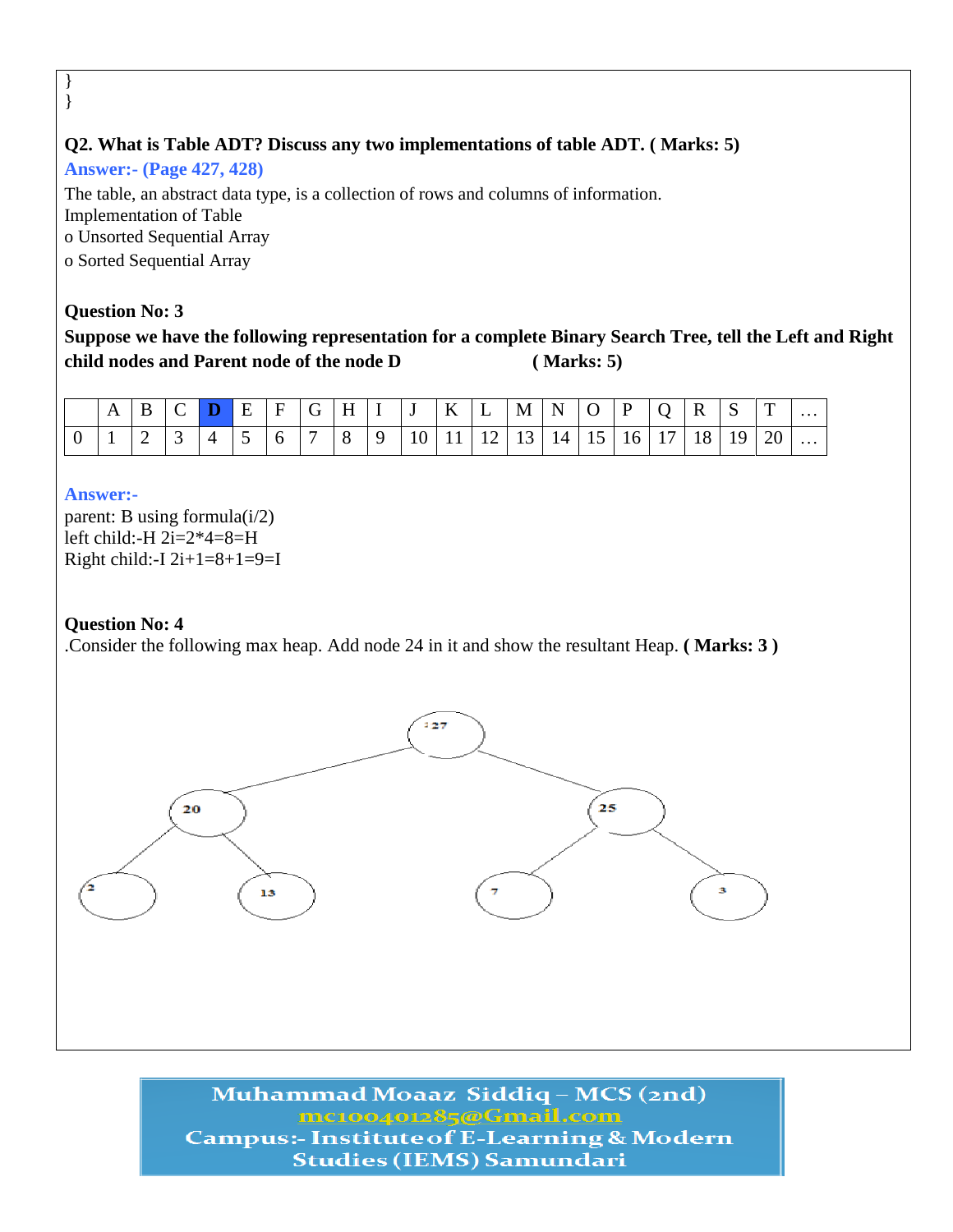## **Q2. What is Table ADT? Discuss any two implementations of table ADT. ( Marks: 5)**

**Answer:- (Page 427, 428)**

The table, an abstract data type, is a collection of rows and columns of information. Implementation of Table o Unsorted Sequential Array o Sorted Sequential Array

#### **Question No: 3**

} }

**Suppose we have the following representation for a complete Binary Search Tree, tell the Left and Right child nodes and Parent node of the node D ( Marks: 5)**

| $\mathbf{A}$ |                                        |                 |                                                                          |  |  |  |  | $B C D E F G H I J K L M N O P Q$                       |  | $\vert R \vert S$ | T               | $\cdots$ |
|--------------|----------------------------------------|-----------------|--------------------------------------------------------------------------|--|--|--|--|---------------------------------------------------------|--|-------------------|-----------------|----------|
|              | $\begin{array}{c c} 2 & 3 \end{array}$ | $\vert 4 \vert$ | $\begin{array}{c c c c c c c c c} \hline 5 & 6 & 7 \\\hline \end{array}$ |  |  |  |  | 8   9   10   11   12   13   14   15   16   17   18   19 |  |                   | 20 <sup>1</sup> | .        |

#### **Answer:-**

parent: B using formula $(i/2)$ left child:-H 2i=2\*4=8=H Right child:-I  $2i+1=8+1=9=$ I

#### **Question No: 4**

.Consider the following max heap. Add node 24 in it and show the resultant Heap. **( Marks: 3 )**

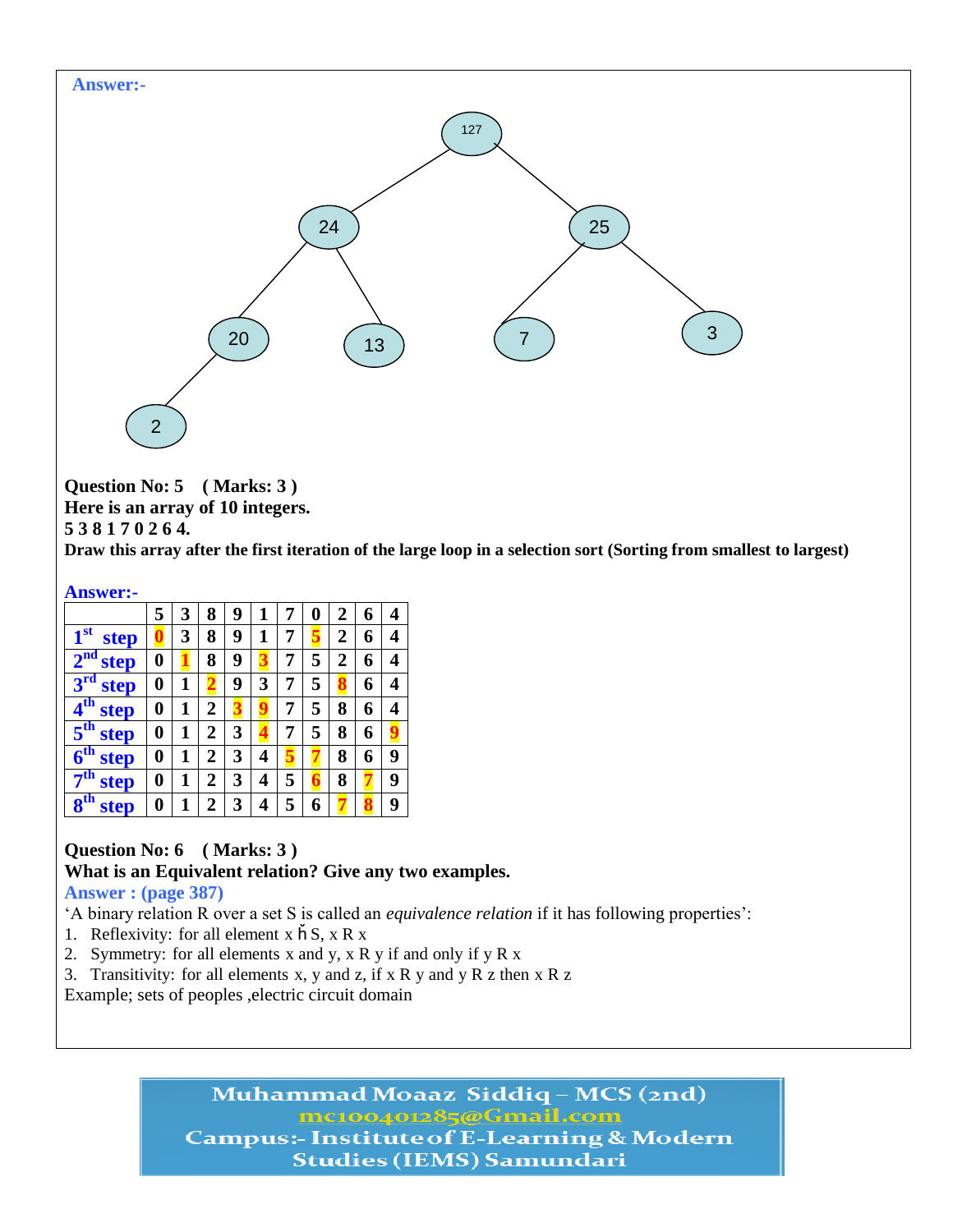

**Question No: 5 ( Marks: 3 )**

**Here is an array of 10 integers.**

**5 3 8 1 7 0 2 6 4.** 

**Draw this array after the first iteration of the large loop in a selection sort (Sorting from smallest to largest)**

**Answer:-**

|                                | 5 | 3 | 8              | 9 | 1 |   | 0 | $\overline{2}$ | 6 | 4 |
|--------------------------------|---|---|----------------|---|---|---|---|----------------|---|---|
| 1 <sup>st</sup><br><b>step</b> |   | 3 | 8              | 9 | 1 | 7 |   | 2              | 6 | 4 |
| 2 <sup>nd</sup><br>step        | 0 |   | 8              | 9 |   | 7 | 5 | 2              | 6 | 4 |
| 3 <sup>rd</sup><br>step        | 0 | 1 |                | 9 | 3 | 7 | 5 |                | 6 | 4 |
| $4^{\rm th}$<br>step           | 0 | 1 | $\overline{2}$ |   |   | 7 | 5 | 8              | 6 | 4 |
| 5 <sup>th</sup><br>step        | 0 | 1 | $\overline{2}$ | 3 |   | 7 | 5 | 8              | 6 |   |
| $6^{\text{th}}$<br>step        | 0 | 1 | $\overline{2}$ | 3 | 4 |   |   | 8              | 6 | 9 |
| 7 <sup>th</sup><br>step        | 0 | 1 | $\overline{2}$ | 3 | 4 | 5 |   | 8              |   | 9 |
| 8 <sup>th</sup><br>step        | 0 | 1 | $\overline{2}$ | 3 | 4 | 5 | 6 |                |   | 9 |

## **Question No: 6 ( Marks: 3 )**

**What is an Equivalent relation? Give any two examples.**

#### **Answer : (page 387)**

‗A binary relation R over a set S is called an *equivalence relation* if it has following properties':

- 1. Reflexivity: for all element  $x \nightharpoonup S$ ,  $x R x$
- 2. Symmetry: for all elements x and y, x R y if and only if y R x
- 3. Transitivity: for all elements x, y and z, if x R y and y R z then x R z
- Example; sets of peoples ,electric circuit domain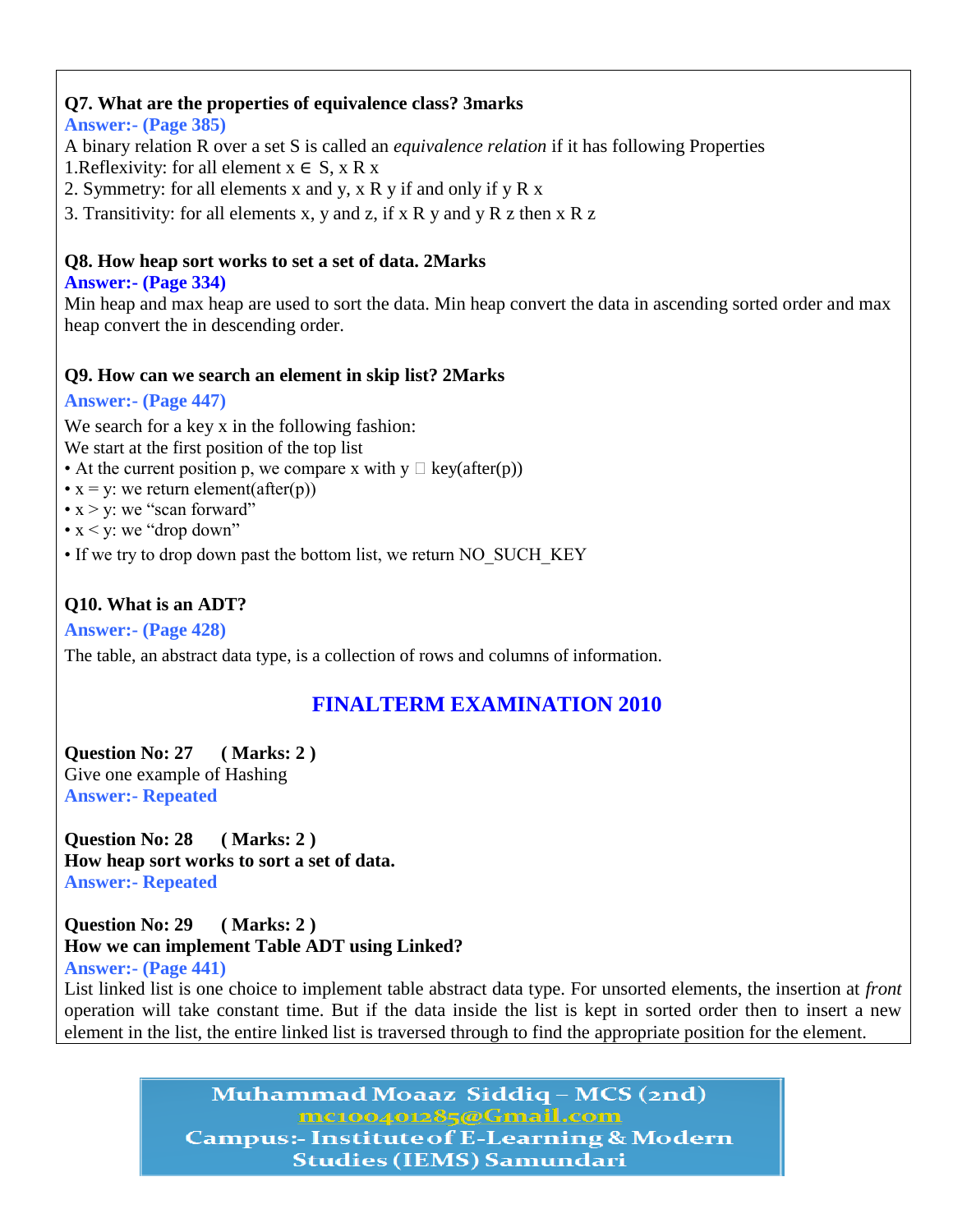## **Q7. What are the properties of equivalence class? 3marks**

#### **Answer:- (Page 385)**

A binary relation R over a set S is called an *equivalence relation* if it has following Properties

1. Reflexivity: for all element  $x \in S$ ,  $x \in X$ 

2. Symmetry: for all elements x and y, x R y if and only if y R x

3. Transitivity: for all elements x, y and z, if x R y and y R z then x R z

#### **Q8. How heap sort works to set a set of data. 2Marks**

#### **Answer:- (Page 334)**

Min heap and max heap are used to sort the data. Min heap convert the data in ascending sorted order and max heap convert the in descending order.

### **Q9. How can we search an element in skip list? 2Marks**

### **Answer:- (Page 447)**

We search for a key x in the following fashion:

We start at the first position of the top list

- At the current position p, we compare x with  $y \Box \text{key}(after(p))$
- $x = y$ : we return element(after(p))
- $x > y$ : we "scan forward"
- $x \le y$ : we "drop down"
- If we try to drop down past the bottom list, we return NO\_SUCH\_KEY

## **Q10. What is an ADT?**

**Answer:- (Page 428)**

The table, an abstract data type, is a collection of rows and columns of information.

# **FINALTERM EXAMINATION 2010**

**Question No: 27 ( Marks: 2 )** Give one example of Hashing **Answer:- Repeated**

**Question No: 28 ( Marks: 2 ) How heap sort works to sort a set of data. Answer:- Repeated**

**Question No: 29 ( Marks: 2 ) How we can implement Table ADT using Linked? Answer:- (Page 441)**

List linked list is one choice to implement table abstract data type. For unsorted elements, the insertion at *front*  operation will take constant time. But if the data inside the list is kept in sorted order then to insert a new element in the list, the entire linked list is traversed through to find the appropriate position for the element.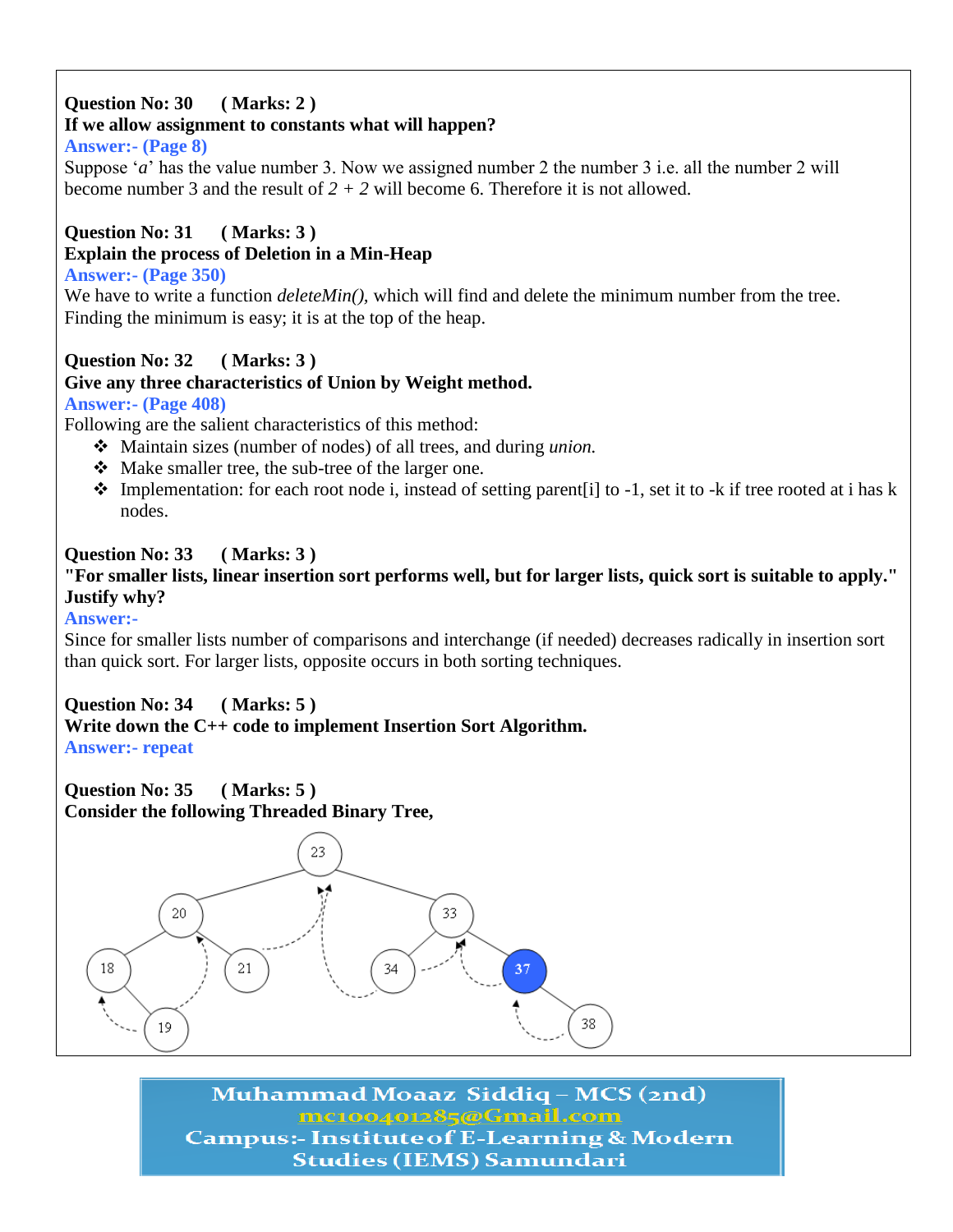## **Question No: 30 ( Marks: 2 )**

# **If we allow assignment to constants what will happen?**

## **Answer:- (Page 8)**

Suppose '*a*' has the value number 3. Now we assigned number 2 the number 3 i.e. all the number 2 will become number 3 and the result of *2 + 2* will become 6. Therefore it is not allowed.

# **Question No: 31 ( Marks: 3 )**

## **Explain the process of Deletion in a Min-Heap**

## **Answer:- (Page 350)**

We have to write a function *deleteMin()*, which will find and delete the minimum number from the tree. Finding the minimum is easy; it is at the top of the heap.

# **Question No: 32 ( Marks: 3 )**

## **Give any three characteristics of Union by Weight method.**

## **Answer:- (Page 408)**

Following are the salient characteristics of this method:

- Maintain sizes (number of nodes) of all trees, and during *union.*
- Make smaller tree, the sub-tree of the larger one.
- $\bullet$  Implementation: for each root node i, instead of setting parent [i] to -1, set it to -k if tree rooted at i has k nodes.

# **Question No: 33 ( Marks: 3 )**

**"For smaller lists, linear insertion sort performs well, but for larger lists, quick sort is suitable to apply." Justify why?**

#### **Answer:-**

Since for smaller lists number of comparisons and interchange (if needed) decreases radically in insertion sort than quick sort. For larger lists, opposite occurs in both sorting techniques.

## **Question No: 34 ( Marks: 5 )**

#### **Write down the C++ code to implement Insertion Sort Algorithm. Answer:- repeat**

**Question No: 35 ( Marks: 5 ) Consider the following Threaded Binary Tree,**

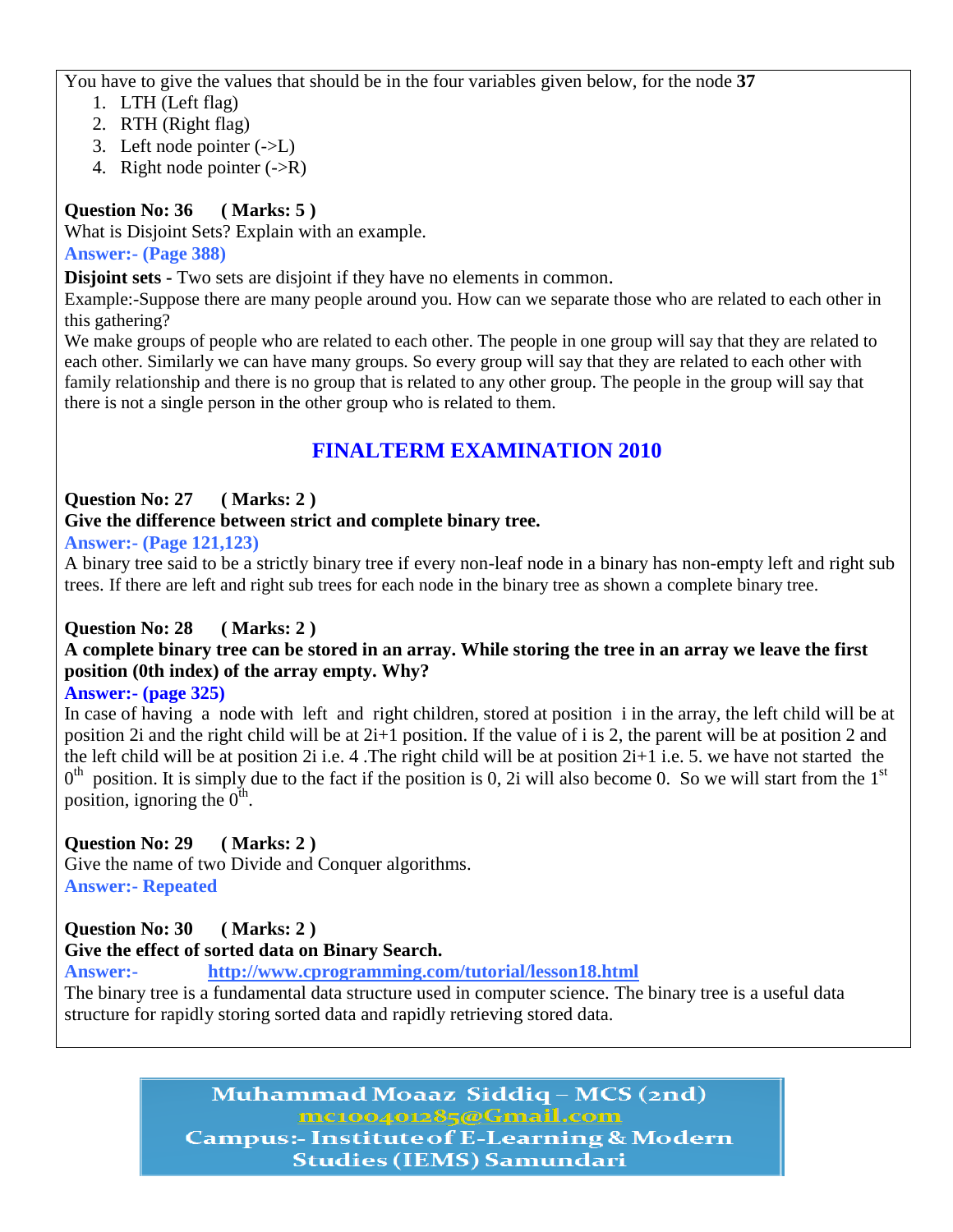You have to give the values that should be in the four variables given below, for the node **37**

- 1. LTH (Left flag)
- 2. RTH (Right flag)
- 3. Left node pointer  $(-\geq L)$
- 4. Right node pointer  $(\rightarrow R)$

## **Question No: 36 ( Marks: 5 )**

What is Disjoint Sets? Explain with an example.

## **Answer:- (Page 388)**

**Disjoint sets -** Two sets are disjoint if they have no elements in common.

Example:-Suppose there are many people around you. How can we separate those who are related to each other in this gathering?

We make groups of people who are related to each other. The people in one group will say that they are related to each other. Similarly we can have many groups. So every group will say that they are related to each other with family relationship and there is no group that is related to any other group. The people in the group will say that there is not a single person in the other group who is related to them.

# **FINALTERM EXAMINATION 2010**

## **Question No: 27 ( Marks: 2 )**

### **Give the difference between strict and complete binary tree.**

**Answer:- (Page 121,123)**

A binary tree said to be a strictly binary tree if every non-leaf node in a binary has non-empty left and right sub trees. If there are left and right sub trees for each node in the binary tree as shown a complete binary tree.

## **Question No: 28 ( Marks: 2 )**

## **A complete binary tree can be stored in an array. While storing the tree in an array we leave the first position (0th index) of the array empty. Why?**

## **Answer:- (page 325)**

In case of having a node with left and right children, stored at position i in the array, the left child will be at position 2i and the right child will be at 2i+1 position. If the value of i is 2, the parent will be at position 2 and the left child will be at position 2i i.e. 4 .The right child will be at position 2i+1 i.e. 5. we have not started the  $0<sup>th</sup>$  position. It is simply due to the fact if the position is 0, 2i will also become 0. So we will start from the 1<sup>st</sup> position, ignoring the  $0^{th}$ .

## **Question No: 29 ( Marks: 2 )**

Give the name of two Divide and Conquer algorithms. **Answer:- Repeated**

## **Question No: 30 ( Marks: 2 )**

## **Give the effect of sorted data on Binary Search.**

**Answer:- <http://www.cprogramming.com/tutorial/lesson18.html>**

The binary tree is a fundamental data structure used in computer science. The binary tree is a useful data structure for rapidly storing sorted data and rapidly retrieving stored data.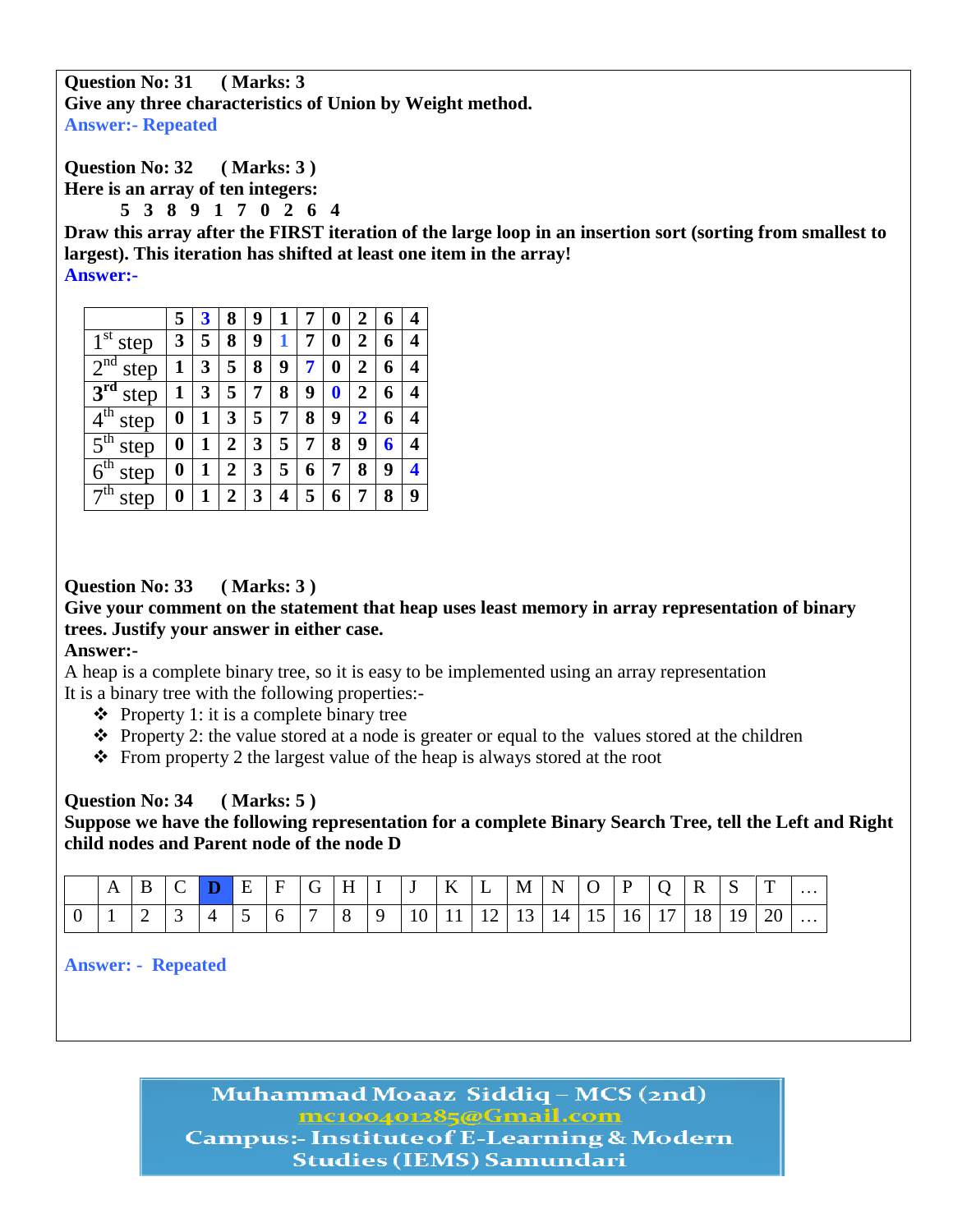**Question No: 31 ( Marks: 3 Give any three characteristics of Union by Weight method. Answer:- Repeated**

**Question No: 32 ( Marks: 3 )**

**Here is an array of ten integers:**

**5 3 8 9 1 7 0 2 6 4**

**Draw this array after the FIRST iteration of the large loop in an insertion sort (sorting from smallest to largest). This iteration has shifted at least one item in the array! Answer:-**

|                             | 5 |   | 8              | 9 |   |   |   | 2              | 6 | 4 |
|-----------------------------|---|---|----------------|---|---|---|---|----------------|---|---|
| $1^{\rm st}$<br>step        | 3 | 5 | 8              | 9 |   |   | 0 | 2              | 6 | 4 |
| $2^{n\overline{d}}$<br>step |   | 3 | 5              | 8 | 9 |   |   | 2              | 6 | 4 |
| $3^{\rm rd}$<br>step        |   | 3 | 5              | 7 | 8 | 9 | 0 | $\overline{2}$ | 6 | 4 |
| $4^{\text{th}}$<br>step     | 0 |   | 3              | 5 | 7 | 8 | 9 | 2              | 6 | 4 |
| 5 <sup>th</sup><br>step     | 0 | 1 | 2              | 3 | 5 |   | 8 | 9              | 6 | 4 |
| 6 <sup>th</sup><br>step     | 0 |   | 2              | 3 | 5 | 6 |   | 8              | 9 | 4 |
| 7 <sup>th</sup><br>step     | 0 |   | $\overline{2}$ | 3 | 4 | 5 | 6 |                | 8 | 9 |

## **Question No: 33 ( Marks: 3 )**

**Give your comment on the statement that heap uses least memory in array representation of binary trees. Justify your answer in either case.**

#### **Answer:-**

A heap is a complete binary tree, so it is easy to be implemented using an array representation It is a binary tree with the following properties:-

- $\triangle$  Property 1: it is a complete binary tree
- $\triangle$  Property 2: the value stored at a node is greater or equal to the values stored at the children
- $\triangle$  From property 2 the largest value of the heap is always stored at the root

#### **Question No: 34 ( Marks: 5 )**

**Suppose we have the following representation for a complete Binary Search Tree, tell the Left and Right child nodes and Parent node of the node D**

|  |  |  |  |  | A   B   C   D   E   F   G   H   I   J   K   L   M   N   O   P   Q   R   S   T                                                                    |  |  |  |  |           |   |
|--|--|--|--|--|--------------------------------------------------------------------------------------------------------------------------------------------------|--|--|--|--|-----------|---|
|  |  |  |  |  | $1 \mid 2 \mid 3 \mid 4 \mid 5 \mid 6 \mid 7 \mid 8 \mid 9 \mid 10 \mid 11 \mid 12 \mid 13 \mid 14 \mid 15 \mid 16 \mid 17 \mid 18 \mid 19 \mid$ |  |  |  |  | <b>20</b> | . |

**Answer: - Repeated**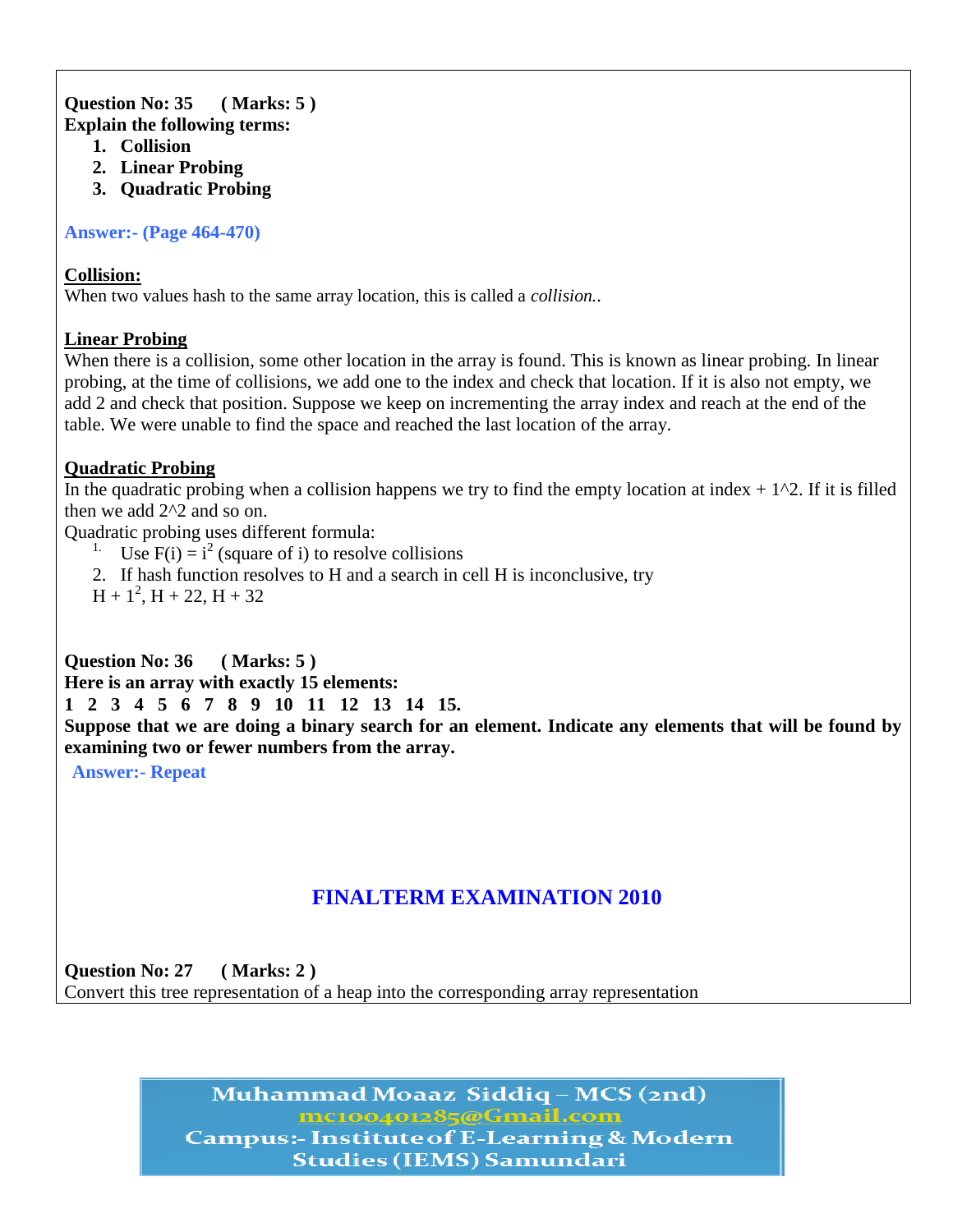#### **Question No: 35 ( Marks: 5 ) Explain the following terms:**

- **1. Collision**
- **2. Linear Probing**
- **3. Quadratic Probing**

**Answer:- (Page 464-470)**

#### **Collision:**

When two values hash to the same array location, this is called a *collision.*.

#### **Linear Probing**

When there is a collision, some other location in the array is found. This is known as linear probing. In linear probing, at the time of collisions, we add one to the index and check that location. If it is also not empty, we add 2 and check that position. Suppose we keep on incrementing the array index and reach at the end of the table. We were unable to find the space and reached the last location of the array.

#### **Quadratic Probing**

In the quadratic probing when a collision happens we try to find the empty location at index  $+ 1<sup>2</sup>$ . If it is filled then we add 2^2 and so on.

Quadratic probing uses different formula:

- <sup>1.</sup> Use  $F(i) = i^2$  (square of i) to resolve collisions
- 2. If hash function resolves to H and a search in cell H is inconclusive, try
- $H + 1^2$ ,  $H + 22$ ,  $H + 32$

## **Question No: 36 ( Marks: 5 )**

**Here is an array with exactly 15 elements:**

**1 2 3 4 5 6 7 8 9 10 11 12 13 14 15.**

**Suppose that we are doing a binary search for an element. Indicate any elements that will be found by examining two or fewer numbers from the array.**

**Answer:- Repeat**

# **FINALTERM EXAMINATION 2010**

**Question No: 27 ( Marks: 2 )** Convert this tree representation of a heap into the corresponding array representation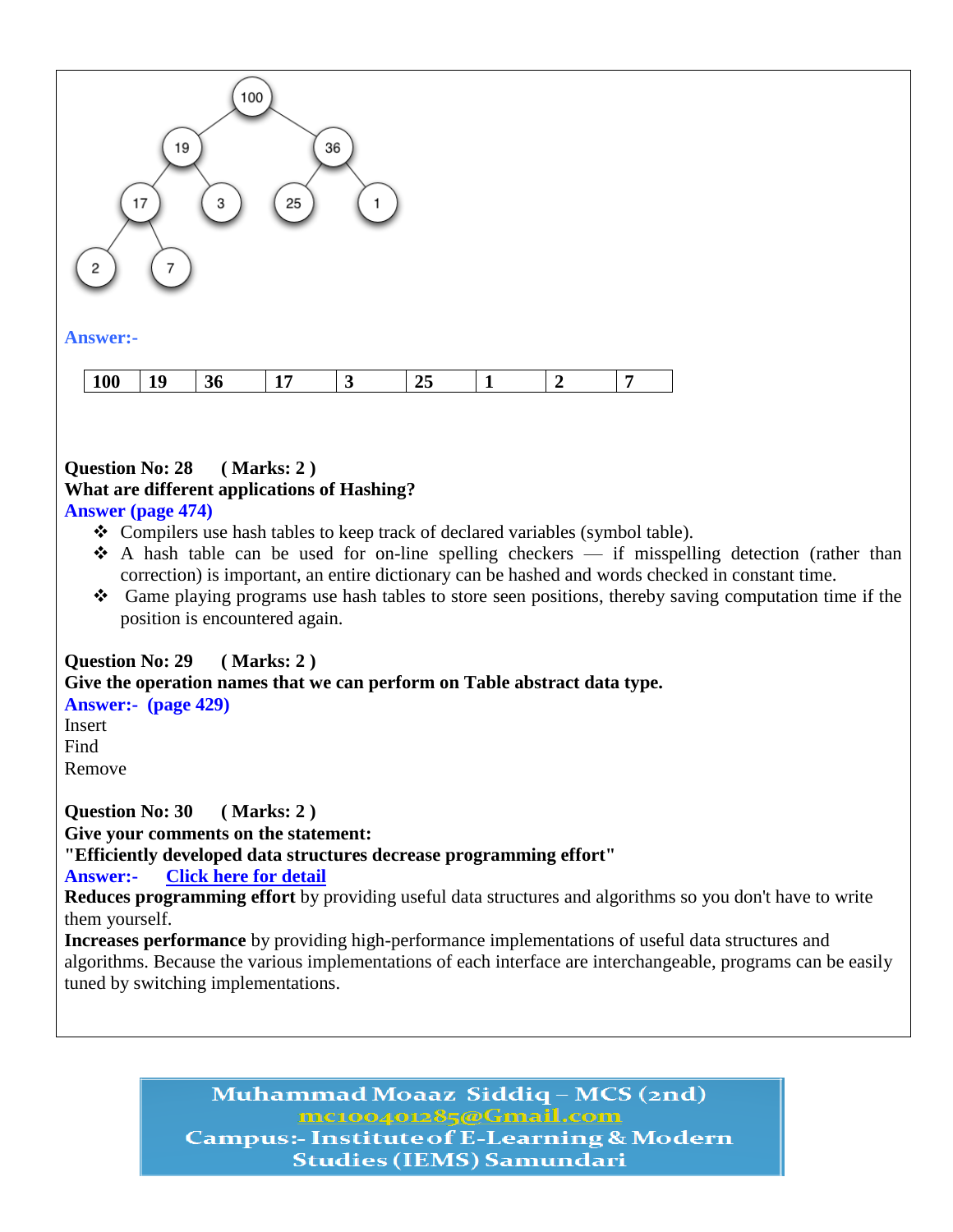

#### **Question No: 28 ( Marks: 2 ) What are different applications of Hashing? Answer (page 474)**

- Compilers use hash tables to keep track of declared variables (symbol table).
- \* A hash table can be used for on-line spelling checkers if misspelling detection (rather than correction) is important, an entire dictionary can be hashed and words checked in constant time.
- Game playing programs use hash tables to store seen positions, thereby saving computation time if the position is encountered again.

## **Question No: 29 ( Marks: 2 ) Give the operation names that we can perform on Table abstract data type. Answer:- (page 429)** Insert

Find Remove

**Question No: 30 ( Marks: 2 ) Give your comments on the statement: "Efficiently developed data structures decrease programming effort" Answer:- [Click here for detail](http://docs.oracle.com/javase/1.4.2/docs/guide/collections/overview.html)**

**Reduces programming effort** by providing useful data structures and algorithms so you don't have to write them yourself.

**Increases performance** by providing high-performance implementations of useful data structures and algorithms. Because the various implementations of each interface are interchangeable, programs can be easily tuned by switching implementations.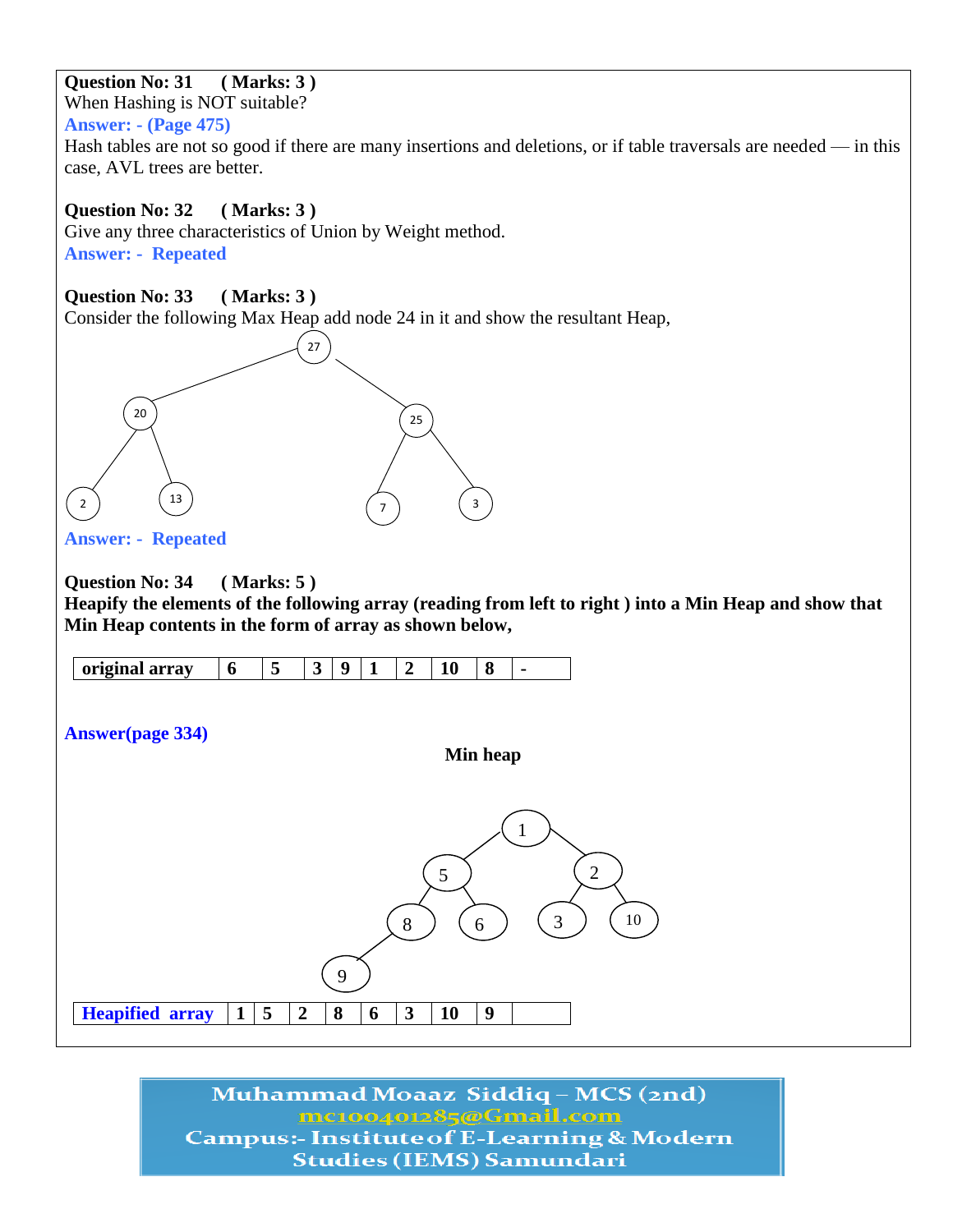## **Question No: 31 ( Marks: 3 )**

When Hashing is NOT suitable?

#### **Answer: - (Page 475)**

Hash tables are not so good if there are many insertions and deletions, or if table traversals are needed — in this case, AVL trees are better.

## **Question No: 32 ( Marks: 3 )**

Give any three characteristics of Union by Weight method. **Answer: - Repeated**

## **Question No: 33 ( Marks: 3 )**

Consider the following Max Heap add node 24 in it and show the resultant Heap,



**Answer: - Repeated**

#### **Question No: 34 ( Marks: 5 )**

**Heapify the elements of the following array (reading from left to right ) into a Min Heap and show that Min Heap contents in the form of array as shown below,**

| $\ddotsc$<br>$- - - -$ |
|------------------------|
|------------------------|

**Answer(page 334)**

**Min heap**

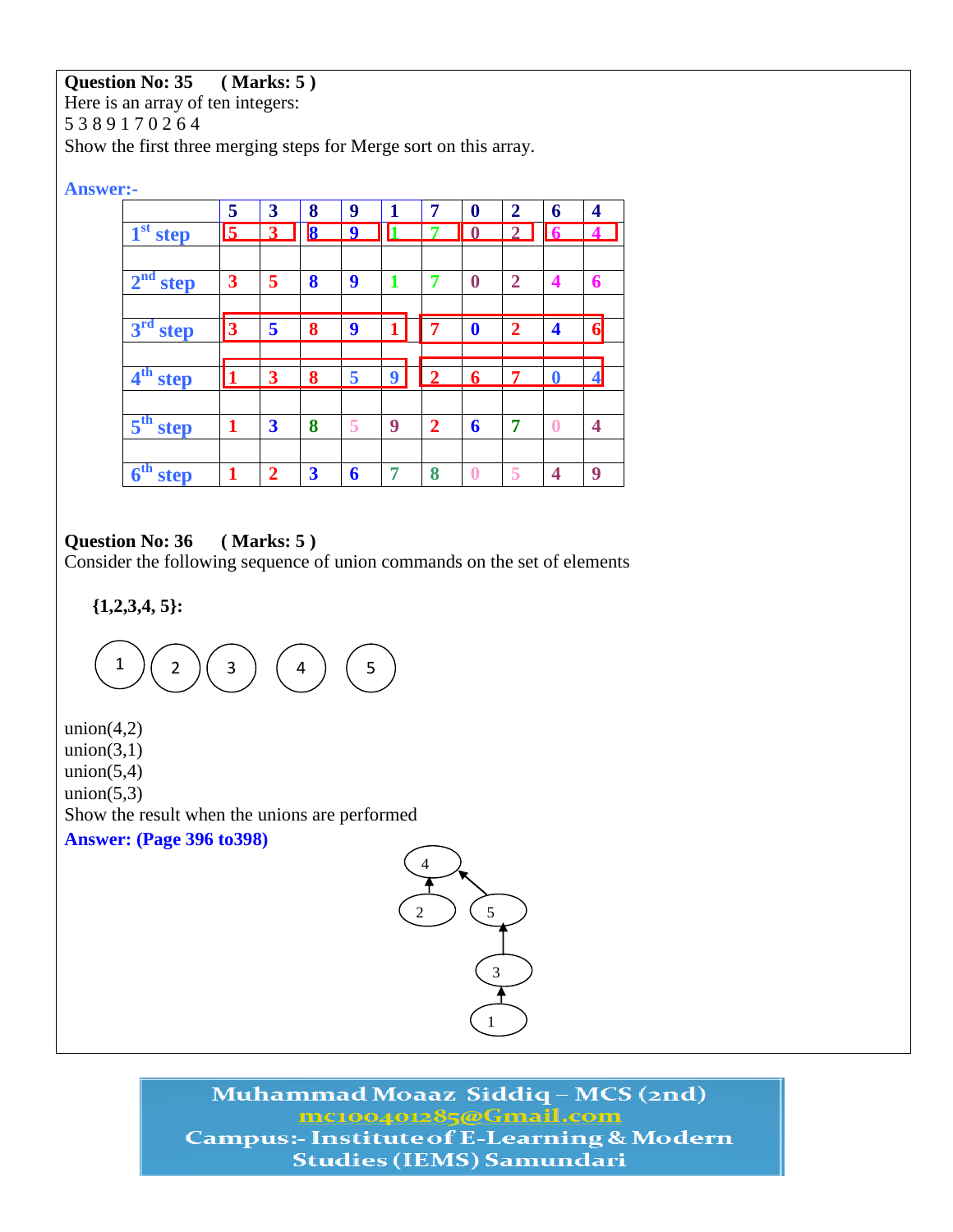## **Question No: 35 ( Marks: 5 )**

Here is an array of ten integers: 5 3 8 9 1 7 0 2 6 4 Show the first three merging steps for Merge sort on this array.

#### **Answer:-**

|                                | 5                       | 3                       | 8                       | 9 | 1 | 7              | $\bf{0}$     | $\overline{2}$              | 6           | 4              |
|--------------------------------|-------------------------|-------------------------|-------------------------|---|---|----------------|--------------|-----------------------------|-------------|----------------|
| $1st$ step                     | $\overline{\mathbf{5}}$ | 3                       | $\overline{\mathbf{8}}$ | 9 |   |                | $\mathbf{0}$ | $\mathcal{D}_{\mathcal{L}}$ | <b>6</b>    |                |
|                                |                         |                         |                         |   |   |                |              |                             |             |                |
| $2nd$ step                     | 3                       | 5                       | 8                       | 9 |   | -              | $\bf{0}$     | $\overline{2}$              | 4           | 6              |
|                                |                         |                         |                         |   |   |                |              |                             |             |                |
| 3 <sup>rd</sup><br><b>step</b> | 3                       | 5                       | 8                       | 9 |   | 7              | $\mathbf 0$  | $\mathcal{D}$               | 4           | 6              |
|                                |                         |                         |                         |   |   |                |              |                             |             |                |
| 4 <sup>th</sup> step           |                         | 3                       | 8                       | 5 | 9 | $\overline{2}$ | 6            | 7                           | $\mathbf 0$ | $\overline{4}$ |
|                                |                         |                         |                         |   |   |                |              |                             |             |                |
| $5^{\text{th}}$<br>step        | 1                       | $\overline{\mathbf{3}}$ | 8                       | 5 | 9 | $\overline{2}$ | 6            | 7                           | $\bf{0}$    | 4              |
|                                |                         |                         |                         |   |   |                |              |                             |             |                |
| 6 <sup>th</sup><br>step        |                         | $\mathbf{2}$            | $\overline{\mathbf{3}}$ | 6 |   | 8              | 0            | 5                           | 4           | 9              |

### **Question No: 36 ( Marks: 5 )**

Consider the following sequence of union commands on the set of elements

**{1,2,3,4, 5}:** 

 $1$   $)($  2  $)($  3  $)($  4  $)($  5

union $(4,2)$ union $(3,1)$ union $(5,4)$ union $(5,3)$ Show the result when the unions are performed **Answer: (Page 396 to398)**

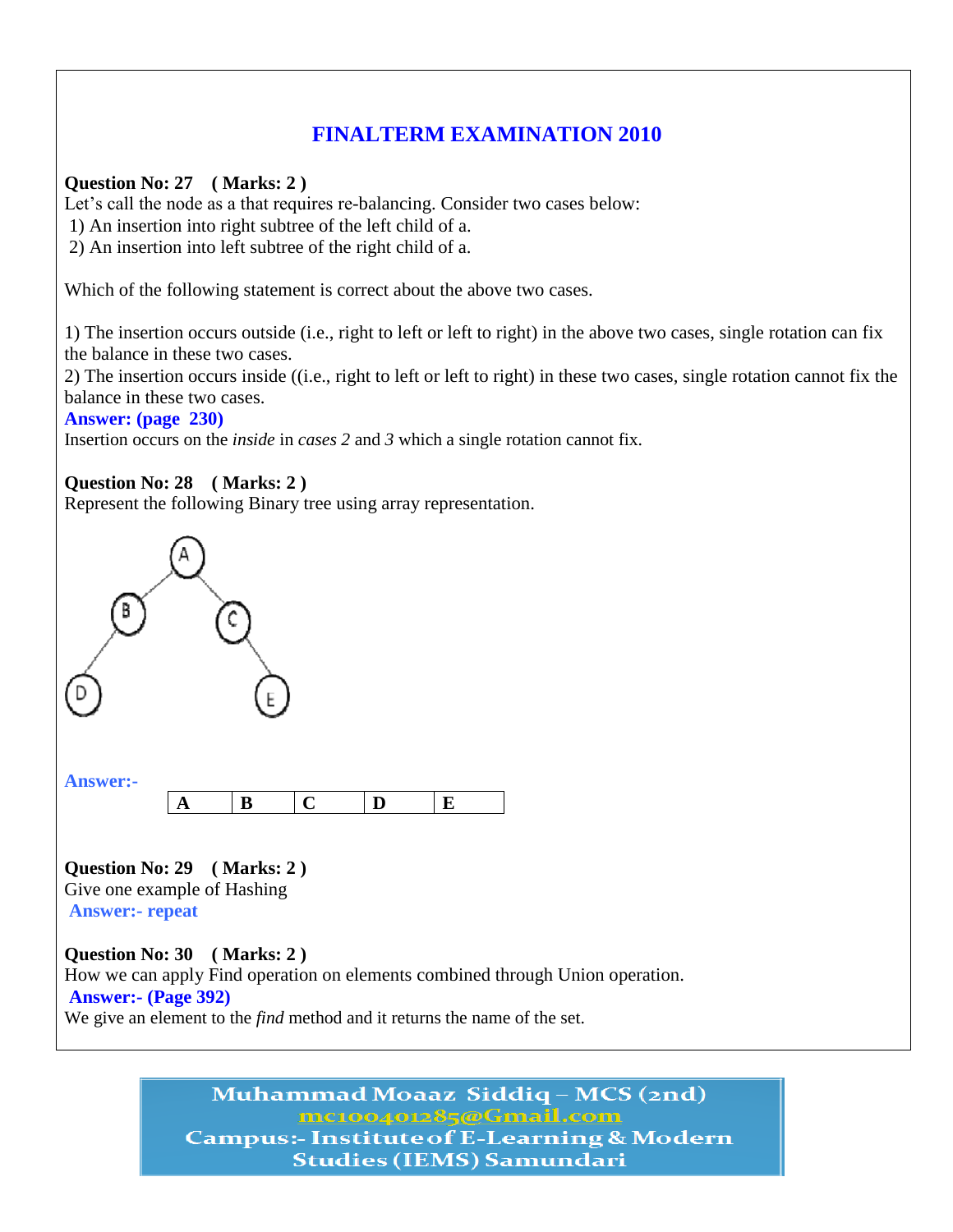# **FINALTERM EXAMINATION 2010**

#### **Question No: 27 ( Marks: 2 )**

Let's call the node as a that requires re-balancing. Consider two cases below:

1) An insertion into right subtree of the left child of a.

2) An insertion into left subtree of the right child of a.

Which of the following statement is correct about the above two cases.

1) The insertion occurs outside (i.e., right to left or left to right) in the above two cases, single rotation can fix the balance in these two cases.

2) The insertion occurs inside ((i.e., right to left or left to right) in these two cases, single rotation cannot fix the balance in these two cases.

#### **Answer: (page 230)**

Insertion occurs on the *inside* in *cases 2* and *3* which a single rotation cannot fix.

#### **Question No: 28 ( Marks: 2 )**

Represent the following Binary tree using array representation.



**Question No: 29 ( Marks: 2 )**  Give one example of Hashing **Answer:- repeat**

**Question No: 30 ( Marks: 2 )**  How we can apply Find operation on elements combined through Union operation. **Answer:- (Page 392)** We give an element to the *find* method and it returns the name of the set.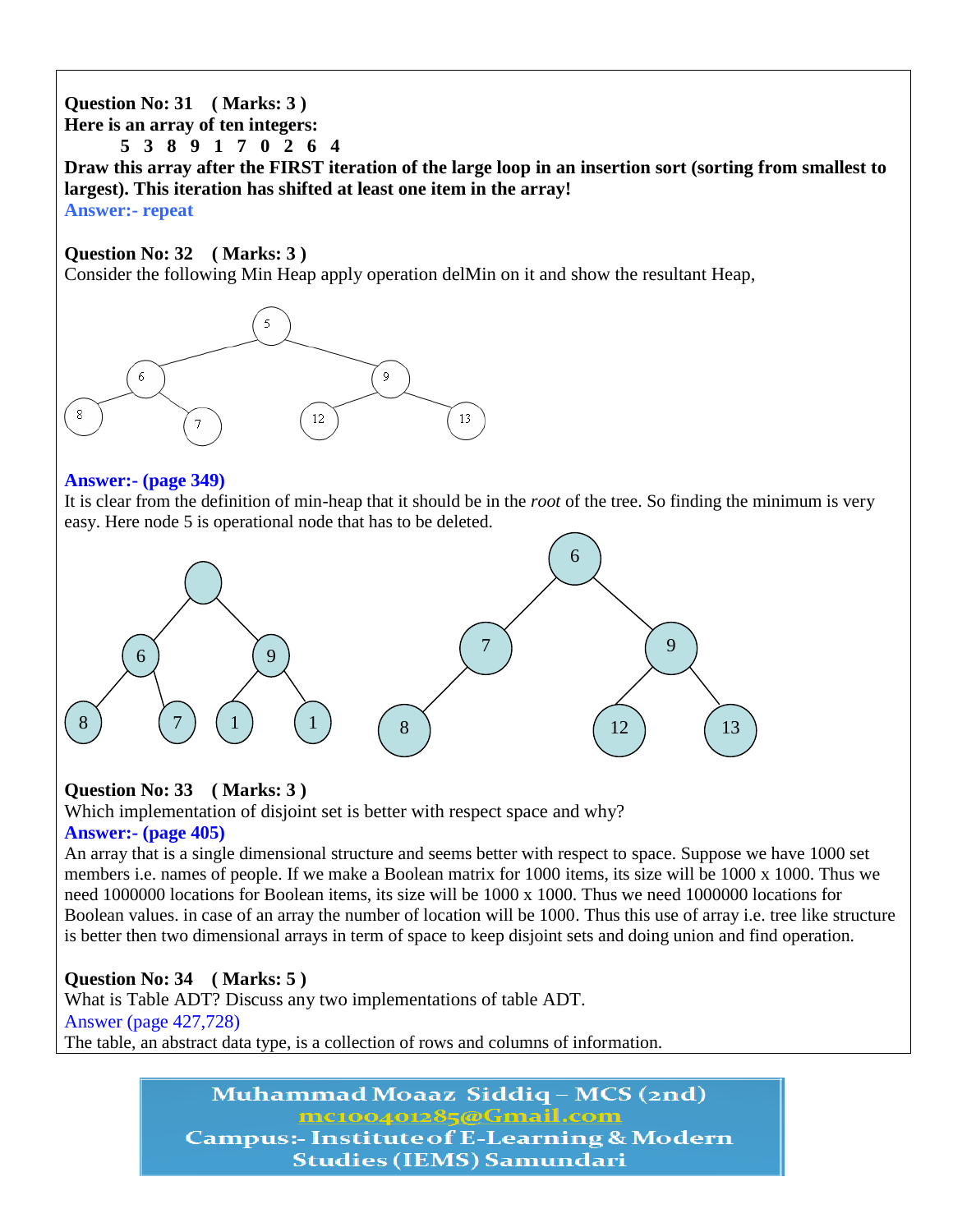## **Question No: 31 ( Marks: 3 ) Here is an array of ten integers: 5 3 8 9 1 7 0 2 6 4 Draw this array after the FIRST iteration of the large loop in an insertion sort (sorting from smallest to largest). This iteration has shifted at least one item in the array! Answer:- repeat**

#### **Question No: 32 ( Marks: 3 )**

Consider the following Min Heap apply operation delMin on it and show the resultant Heap,



#### **Answer:- (page 349)**

It is clear from the definition of min-heap that it should be in the *root* of the tree. So finding the minimum is very easy. Here node 5 is operational node that has to be deleted.



## **Question No: 33 ( Marks: 3 )**

Which implementation of disjoint set is better with respect space and why? **Answer:- (page 405)**

An array that is a single dimensional structure and seems better with respect to space. Suppose we have 1000 set members i.e. names of people. If we make a Boolean matrix for 1000 items, its size will be 1000 x 1000. Thus we need 1000000 locations for Boolean items, its size will be 1000 x 1000. Thus we need 1000000 locations for Boolean values. in case of an array the number of location will be 1000. Thus this use of array i.e. tree like structure is better then two dimensional arrays in term of space to keep disjoint sets and doing union and find operation.

## **Question No: 34 ( Marks: 5 )**

What is Table ADT? Discuss any two implementations of table ADT. Answer (page 427,728) The table, an abstract data type, is a collection of rows and columns of information.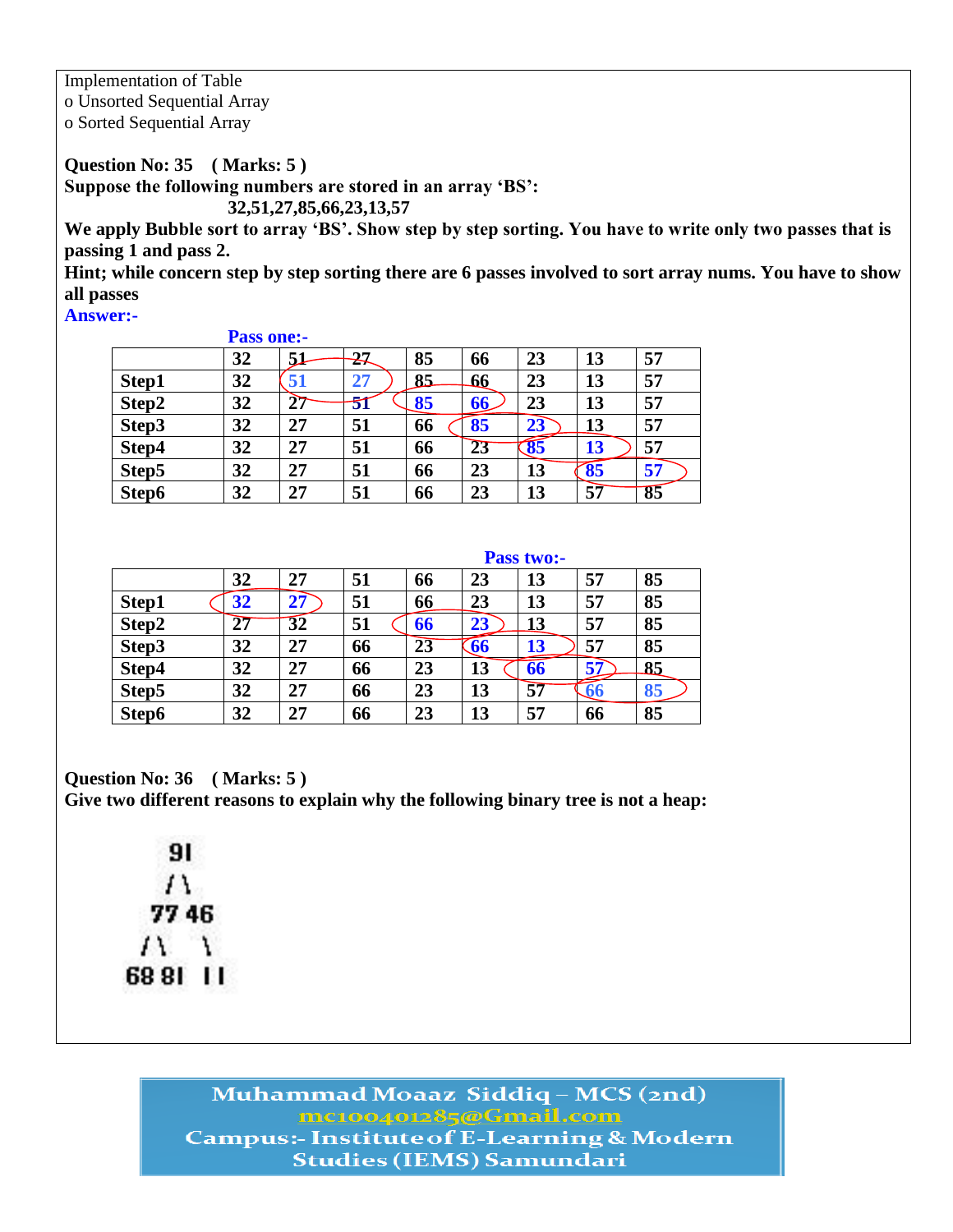Implementation of Table o Unsorted Sequential Array o Sorted Sequential Array

**Question No: 35 ( Marks: 5 ) Suppose the following numbers are stored in an array "BS":** 

 **32,51,27,85,66,23,13,57**

**We apply Bubble sort to array "BS". Show step by step sorting. You have to write only two passes that is passing 1 and pass 2.**

**Hint; while concern step by step sorting there are 6 passes involved to sort array nums. You have to show all passes**

**Answer:-** 

|       | <b>Pass one:-</b> |    |    |    |    |                     |    |    |
|-------|-------------------|----|----|----|----|---------------------|----|----|
|       | 32                | 51 | 27 | 85 | 66 | 23                  | 13 | 57 |
| Step1 | 32                | 51 | 27 | 85 | 66 | 23                  | 13 | 57 |
| Step2 | 32                | הר | 51 | 85 | 66 | 23                  | 13 | 57 |
| Step3 | 32                | 27 | 51 | 66 | 85 | 23                  | 13 | 57 |
| Step4 | 32                | 27 | 51 | 66 | 23 | $\overline{\bf 85}$ | 13 | 57 |
| Step5 | 32                | 27 | 51 | 66 | 23 | 13                  | 85 | 57 |
| Step6 | 32                | 27 | 51 | 66 | 23 | 13                  | 57 | 85 |

|       |    |    |    |                 |                          | <b>Pass two:-</b> |     |    |
|-------|----|----|----|-----------------|--------------------------|-------------------|-----|----|
|       | 32 | 27 | 51 | 66              | 23                       | 13                | 57  | 85 |
| Step1 | 32 | 27 | 51 | 66              | 23                       | 13                | 57  | 85 |
| Step2 | 27 | 32 | 51 | 66              | 23                       | 13                | 57  | 85 |
| Step3 | 32 | 27 | 66 | $2\overline{3}$ | $\overline{\mathbf{66}}$ | 13                | 57  | 85 |
| Step4 | 32 | 27 | 66 | 23              | 13                       | 66                | 57  | 85 |
| Step5 | 32 | 27 | 66 | 23              | 13                       | 57                | -66 | 85 |
| Step6 | 32 | 27 | 66 | 23              | 13                       | 57                | 66  | 85 |

**Question No: 36 ( Marks: 5 )** 

**Give two different reasons to explain why the following binary tree is not a heap:**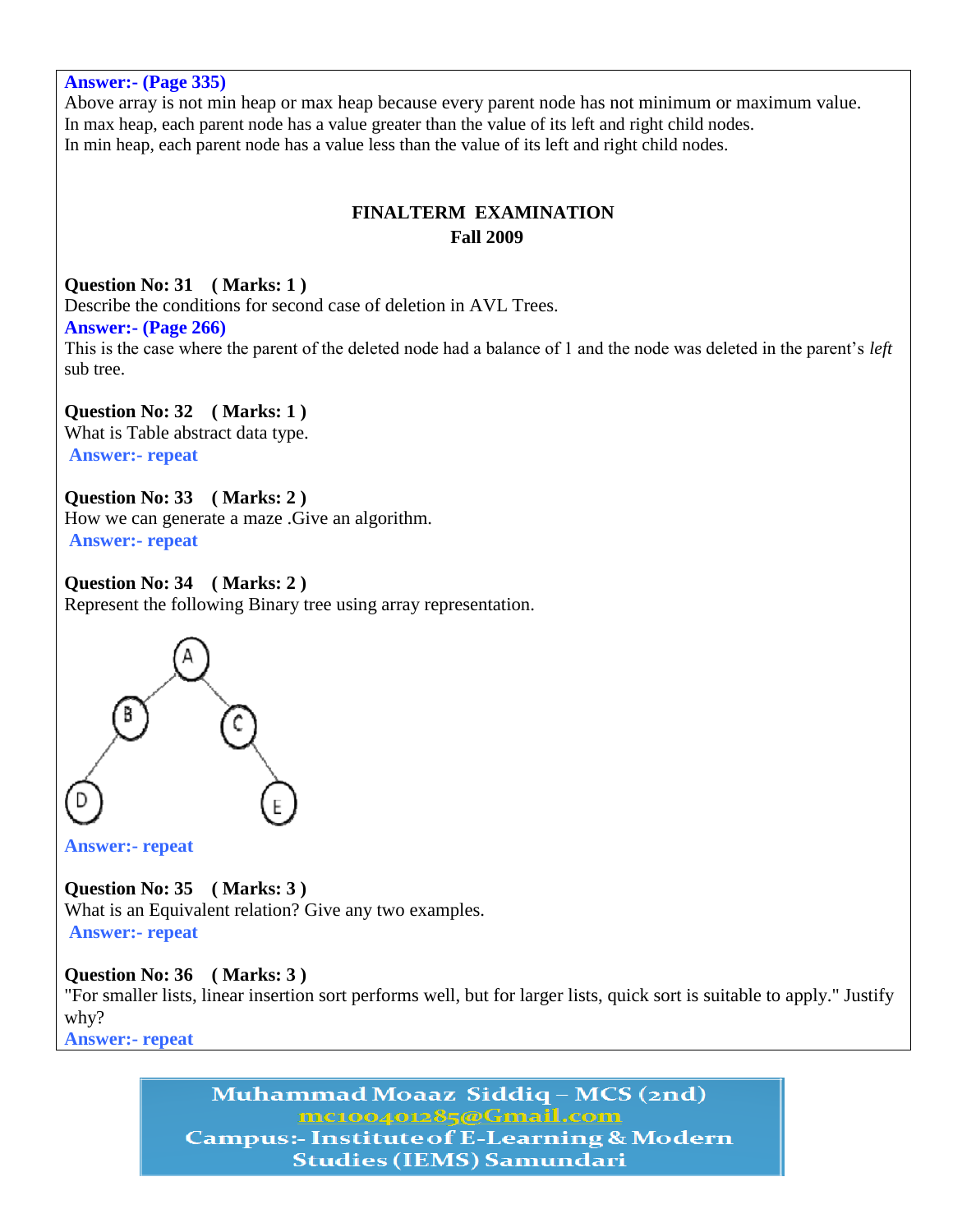**Answer:- (Page 335)** Above array is not min heap or max heap because every parent node has not minimum or maximum value. In max heap, each parent node has a value greater than the value of its left and right child nodes. In min heap, each parent node has a value less than the value of its left and right child nodes. **FINALTERM EXAMINATION Fall 2009 Question No: 31 ( Marks: 1 )**  Describe the conditions for second case of deletion in AVL Trees. **Answer:- (Page 266)** This is the case where the parent of the deleted node had a balance of 1 and the node was deleted in the parent's *left*  sub tree. **Question No: 32 ( Marks: 1 )**  What is Table abstract data type.

**Answer:- repeat**

**Question No: 33 ( Marks: 2 )**  How we can generate a maze .Give an algorithm. **Answer:- repeat**

#### **Question No: 34 ( Marks: 2 )**

Represent the following Binary tree using array representation.



**Answer:- repeat**

**Question No: 35 ( Marks: 3 )**  What is an Equivalent relation? Give any two examples.

**Answer:- repeat**

### **Question No: 36 ( Marks: 3 )**

"For smaller lists, linear insertion sort performs well, but for larger lists, quick sort is suitable to apply." Justify why?

**Answer:- repeat**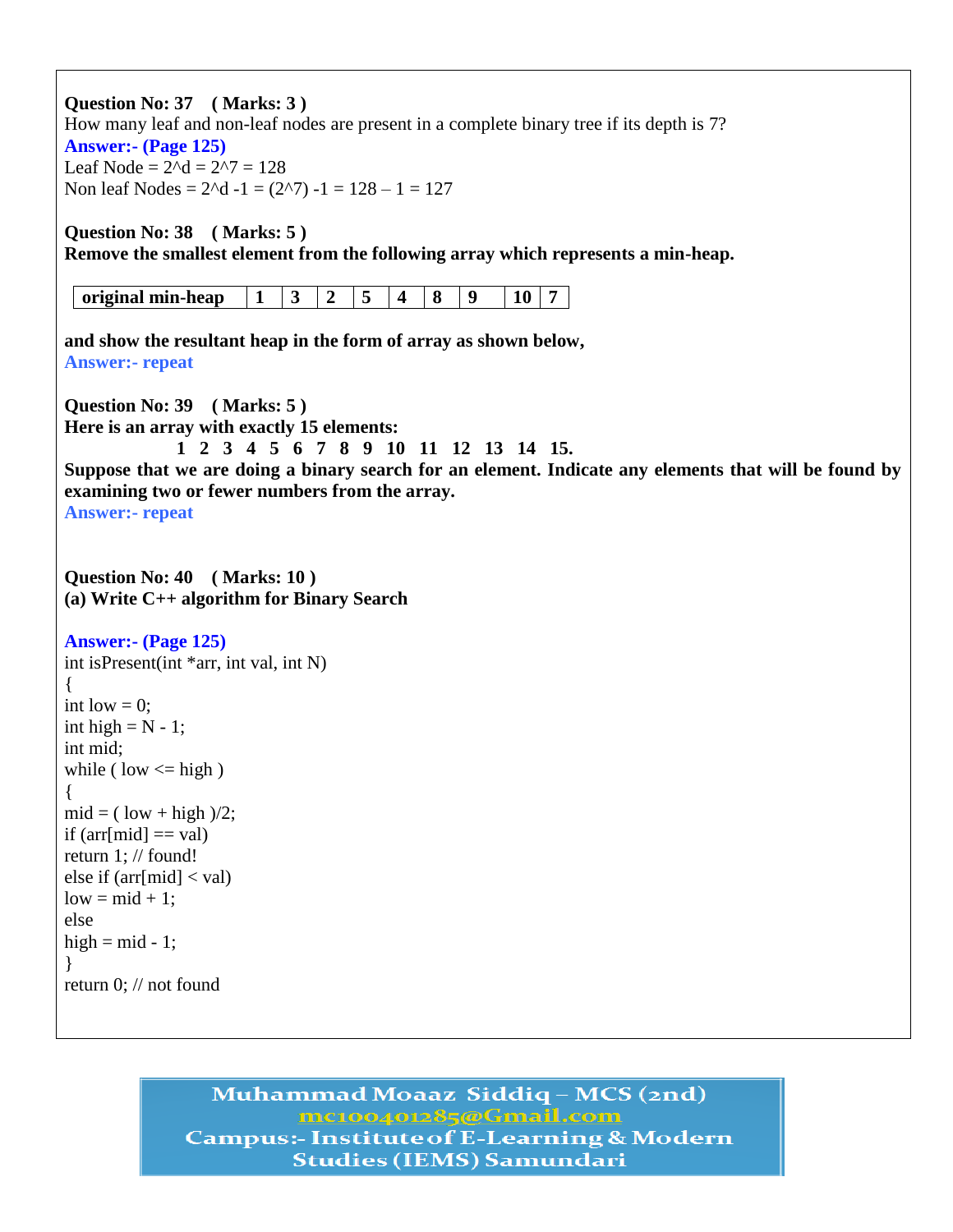**Question No: 37 ( Marks: 3 )**  How many leaf and non-leaf nodes are present in a complete binary tree if its depth is 7? **Answer:- (Page 125)** Leaf Node =  $2^d$ d =  $2^2$ 7 = 128 Non leaf Nodes =  $2^d$  -1 =  $(2^d)$  -1 = 128 – 1 = 127 **Question No: 38 ( Marks: 5 ) Remove the smallest element from the following array which represents a min-heap. original min-heap 1 3 2 5 4 8 9 10 7 and show the resultant heap in the form of array as shown below, Answer:- repeat Question No: 39 ( Marks: 5 ) Here is an array with exactly 15 elements: 1 2 3 4 5 6 7 8 9 10 11 12 13 14 15. Suppose that we are doing a binary search for an element. Indicate any elements that will be found by examining two or fewer numbers from the array. Answer:- repeat Question No: 40 ( Marks: 10 ) (a) Write C++ algorithm for Binary Search Answer:- (Page 125)** int isPresent(int \*arr, int val, int N) { int low  $= 0$ : int high  $= N - 1$ ; int mid; while ( low  $\le$  high ) {  $mid = ($  low + high  $)/2$ ; if  $\text{arr}[mid] == \text{val}$ return 1; // found! else if  $\text{arr}[mid] < \text{val}$ )  $low = mid + 1;$ else high  $=$  mid  $-1$ ; } return 0; // not found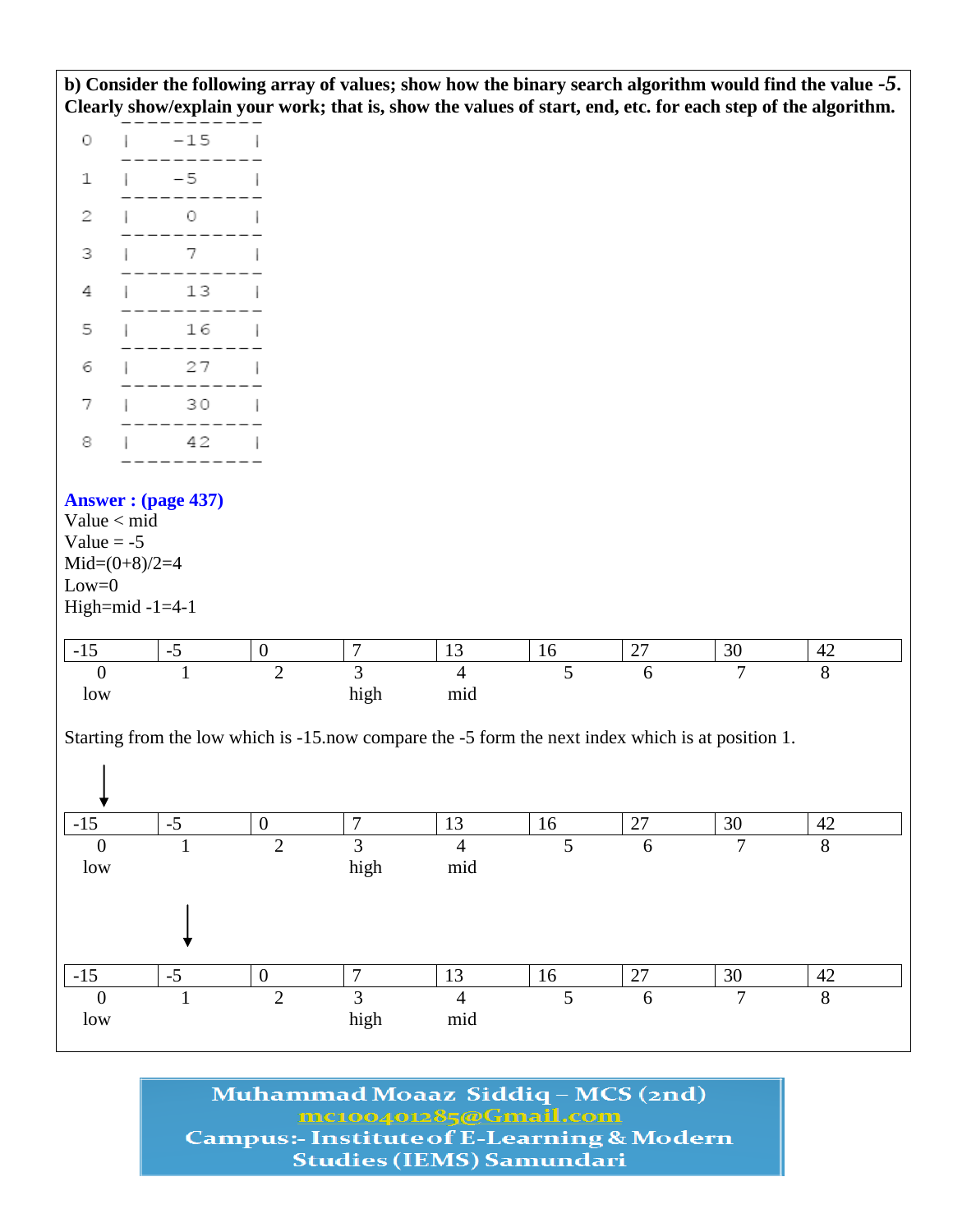**b) Consider the following array of values; show how the binary search algorithm would find the value** *-5***. Clearly show/explain your work; that is, show the values of start, end, etc. for each step of the algorithm.**

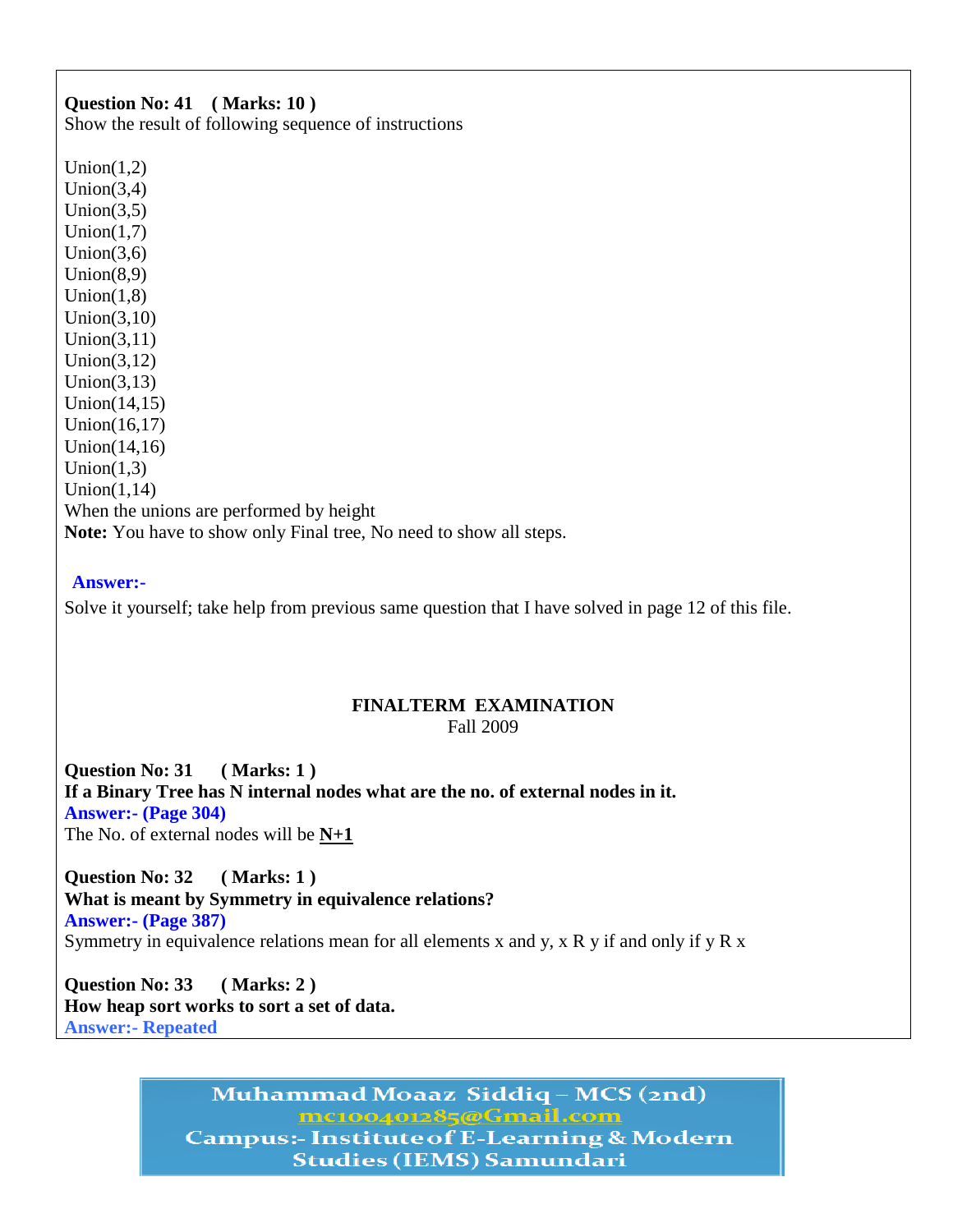# **Question No: 41 ( Marks: 10 )**

Show the result of following sequence of instructions

Union $(1,2)$  $Union(3,4)$ Union $(3,5)$  $Union(1,7)$ Union $(3,6)$  $Union(8,9)$  $Union(1,8)$ Union(3,10) Union(3,11) Union(3,12) Union $(3,13)$ Union(14,15) Union(16,17) Union(14,16)  $Union(1,3)$  $Union(1,14)$ When the unions are performed by height **Note:** You have to show only Final tree, No need to show all steps.

#### **Answer:-**

Solve it yourself; take help from previous same question that I have solved in page 12 of this file.

#### **FINALTERM EXAMINATION**  Fall 2009

**Question No: 31 ( Marks: 1 ) If a Binary Tree has N internal nodes what are the no. of external nodes in it. Answer:- (Page 304)** The No. of external nodes will be **N+1**

**Question No: 32 ( Marks: 1 ) What is meant by Symmetry in equivalence relations? Answer:- (Page 387)** Symmetry in equivalence relations mean for all elements x and y, x R y if and only if y R x

**Question No: 33 ( Marks: 2 ) How heap sort works to sort a set of data. Answer:- Repeated**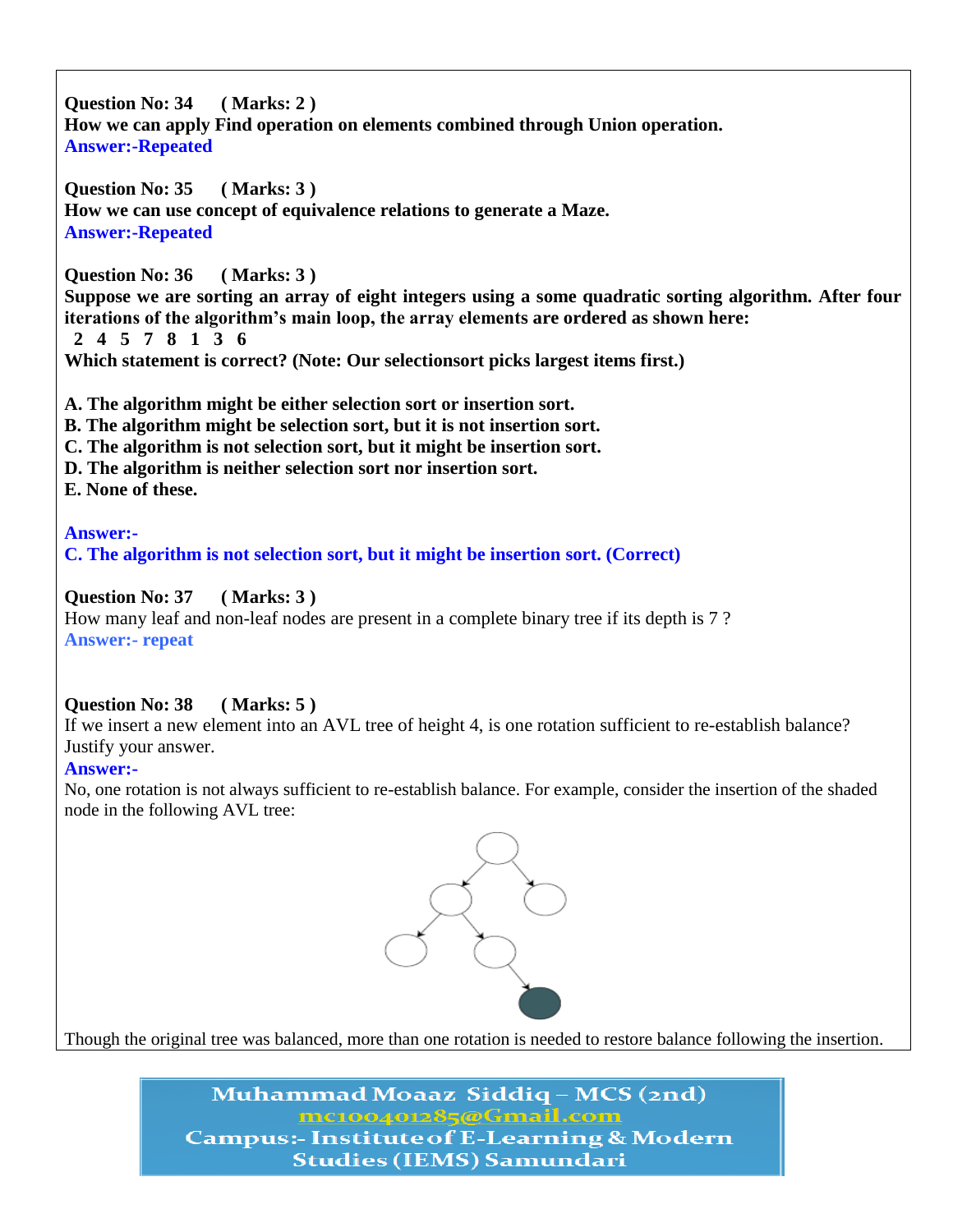**Question No: 34 ( Marks: 2 ) How we can apply Find operation on elements combined through Union operation. Answer:-Repeated** 

**Question No: 35 ( Marks: 3 ) How we can use concept of equivalence relations to generate a Maze. Answer:-Repeated** 

**Question No: 36 ( Marks: 3 )**

**Suppose we are sorting an array of eight integers using a some quadratic sorting algorithm. After four iterations of the algorithm"s main loop, the array elements are ordered as shown here: 2 4 5 7 8 1 3 6 Which statement is correct? (Note: Our selectionsort picks largest items first.)**

**A. The algorithm might be either selection sort or insertion sort.**

- **B. The algorithm might be selection sort, but it is not insertion sort.**
- **C. The algorithm is not selection sort, but it might be insertion sort.**
- **D. The algorithm is neither selection sort nor insertion sort.**
- **E. None of these.**

**Answer:- C. The algorithm is not selection sort, but it might be insertion sort. (Correct)**

**Question No: 37 ( Marks: 3 )**

How many leaf and non-leaf nodes are present in a complete binary tree if its depth is 7 ? **Answer:- repeat**

## **Question No: 38 ( Marks: 5 )**

If we insert a new element into an AVL tree of height 4, is one rotation sufficient to re-establish balance? Justify your answer.

#### **Answer:-**

No, one rotation is not always sufficient to re-establish balance. For example, consider the insertion of the shaded node in the following AVL tree:



Though the original tree was balanced, more than one rotation is needed to restore balance following the insertion.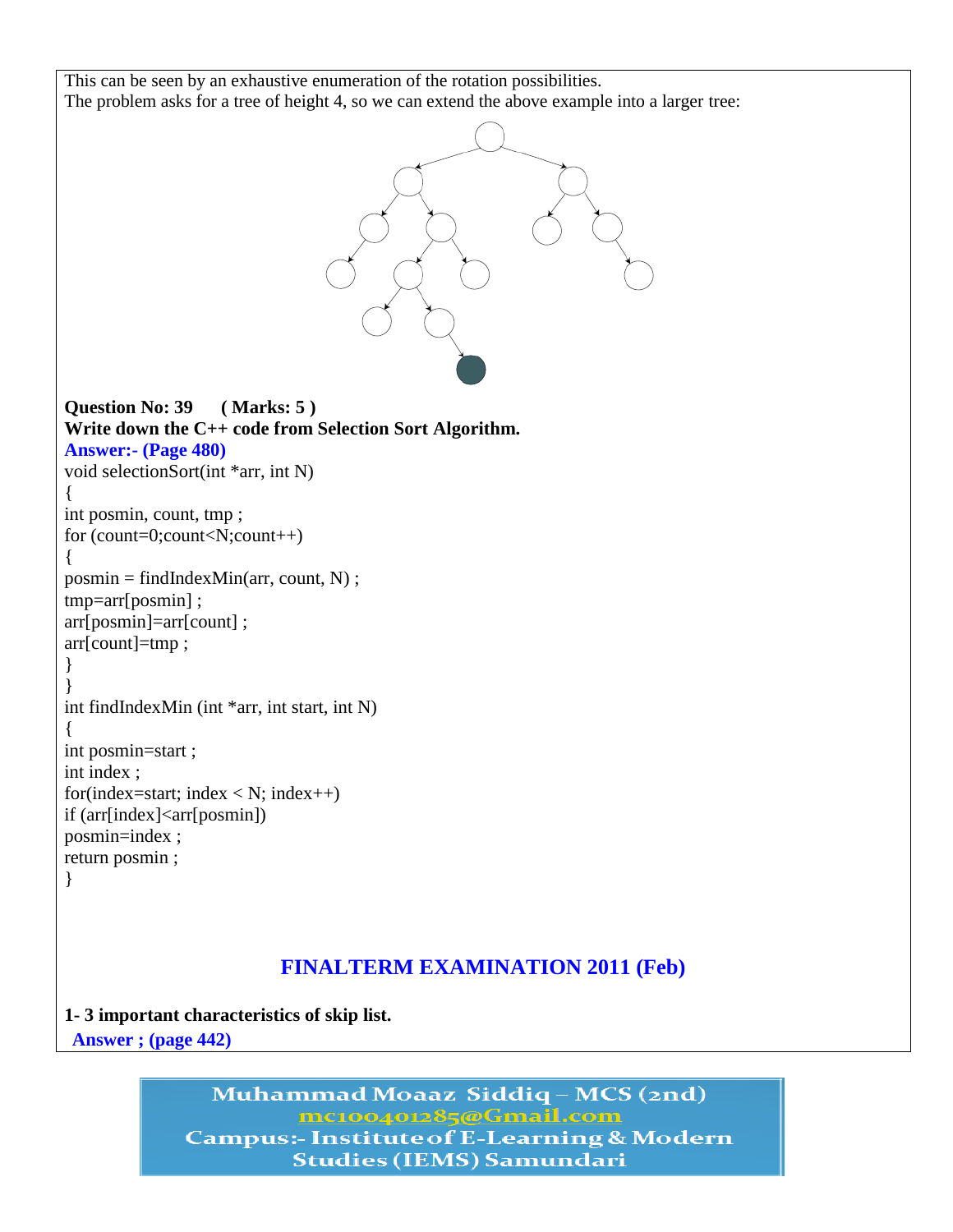```
This can be seen by an exhaustive enumeration of the rotation possibilities.
The problem asks for a tree of height 4, so we can extend the above example into a larger tree:
Question No: 39 ( Marks: 5 )
Write down the C++ code from Selection Sort Algorithm.
Answer:- (Page 480)
void selectionSort(int *arr, int N)
{
int posmin, count, tmp ;
for (count=0;count<N;count++)
{
posmin = findIndexMin(arr, count, N);tmp=arr[posmin] ;
arr[posmin]=arr[count] ;
arr[count]=tmp ;
}
}
int findIndexMin (int *arr, int start, int N)
{
int posmin=start ;
int index ;
for(index=start; index < N; index + +)
if (arr[index]<arr[posmin])
posmin=index ;
return posmin ;
}
```
## **FINALTERM EXAMINATION 2011 (Feb)**

**1- 3 important characteristics of skip list. Answer ; (page 442)**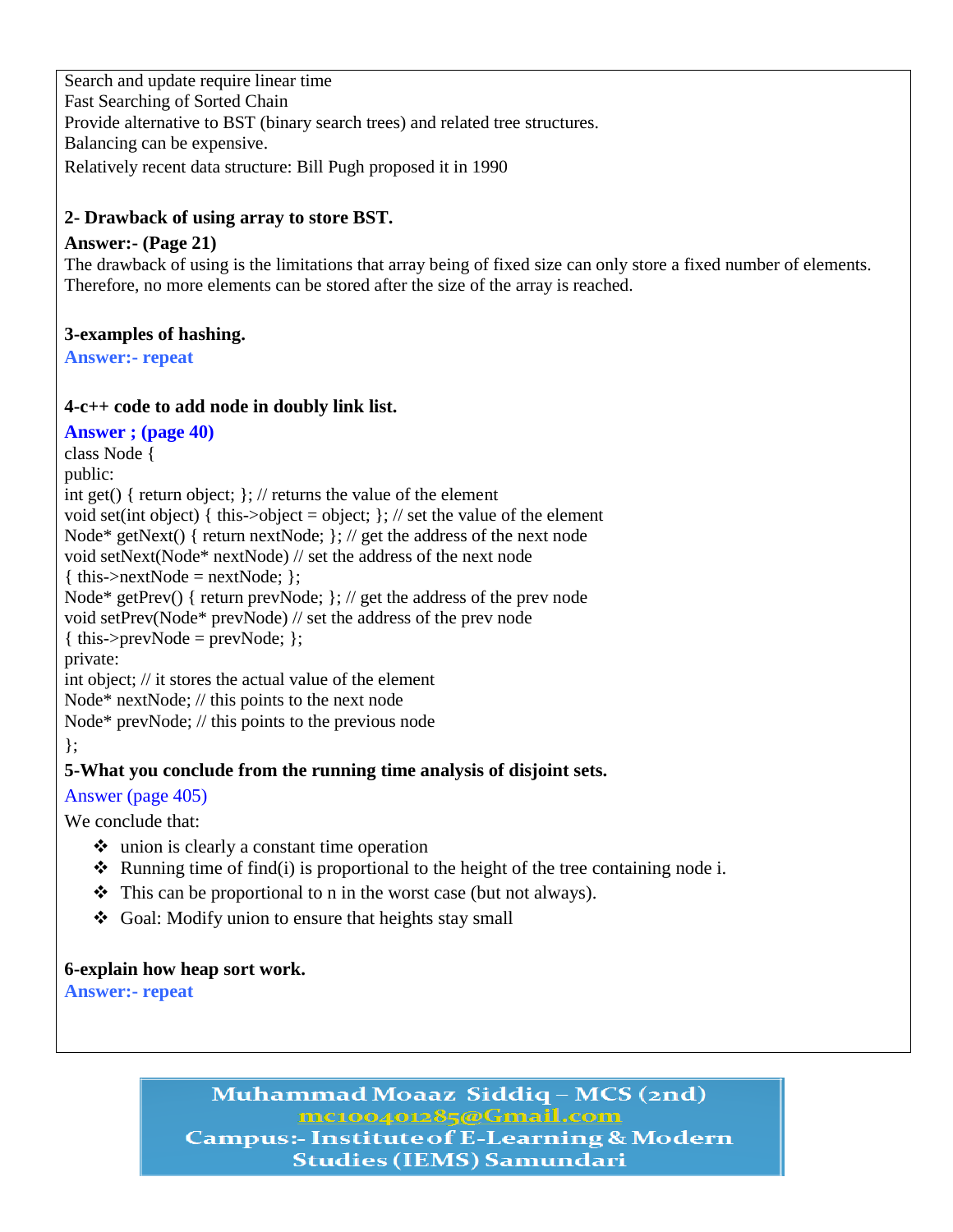Search and update require linear time Fast Searching of Sorted Chain Provide alternative to BST (binary search trees) and related tree structures. Balancing can be expensive. Relatively recent data structure: Bill Pugh proposed it in 1990

## **2- Drawback of using array to store BST.**

### **Answer:- (Page 21)**

The drawback of using is the limitations that array being of fixed size can only store a fixed number of elements. Therefore, no more elements can be stored after the size of the array is reached.

### **3-examples of hashing.**

**Answer:- repeat**

#### **4-c++ code to add node in doubly link list.**

**Answer ; (page 40)** class Node { public: int get() { return object; }; // returns the value of the element void set(int object) { this->object = object;  $\frac{1}{2}$ ; // set the value of the element Node\* getNext() { return nextNode; }; // get the address of the next node void setNext(Node\* nextNode) // set the address of the next node  $\{ this \rightarrow nextNode = nextNode; \};$ Node\* getPrev() { return prevNode; }; // get the address of the prev node void setPrev(Node\* prevNode) // set the address of the prev node { this->prevNode = prevNode; }; private: int object; // it stores the actual value of the element Node\* nextNode; // this points to the next node Node\* prevNode; // this points to the previous node };

## **5-What you conclude from the running time analysis of disjoint sets.**

## Answer (page 405)

We conclude that:

- union is clearly a constant time operation
- $\triangle$  Running time of find(i) is proportional to the height of the tree containing node i.
- $\hat{\mathbf{\cdot}}$  This can be proportional to n in the worst case (but not always).
- Goal: Modify union to ensure that heights stay small

#### **6-explain how heap sort work.**

**Answer:- repeat**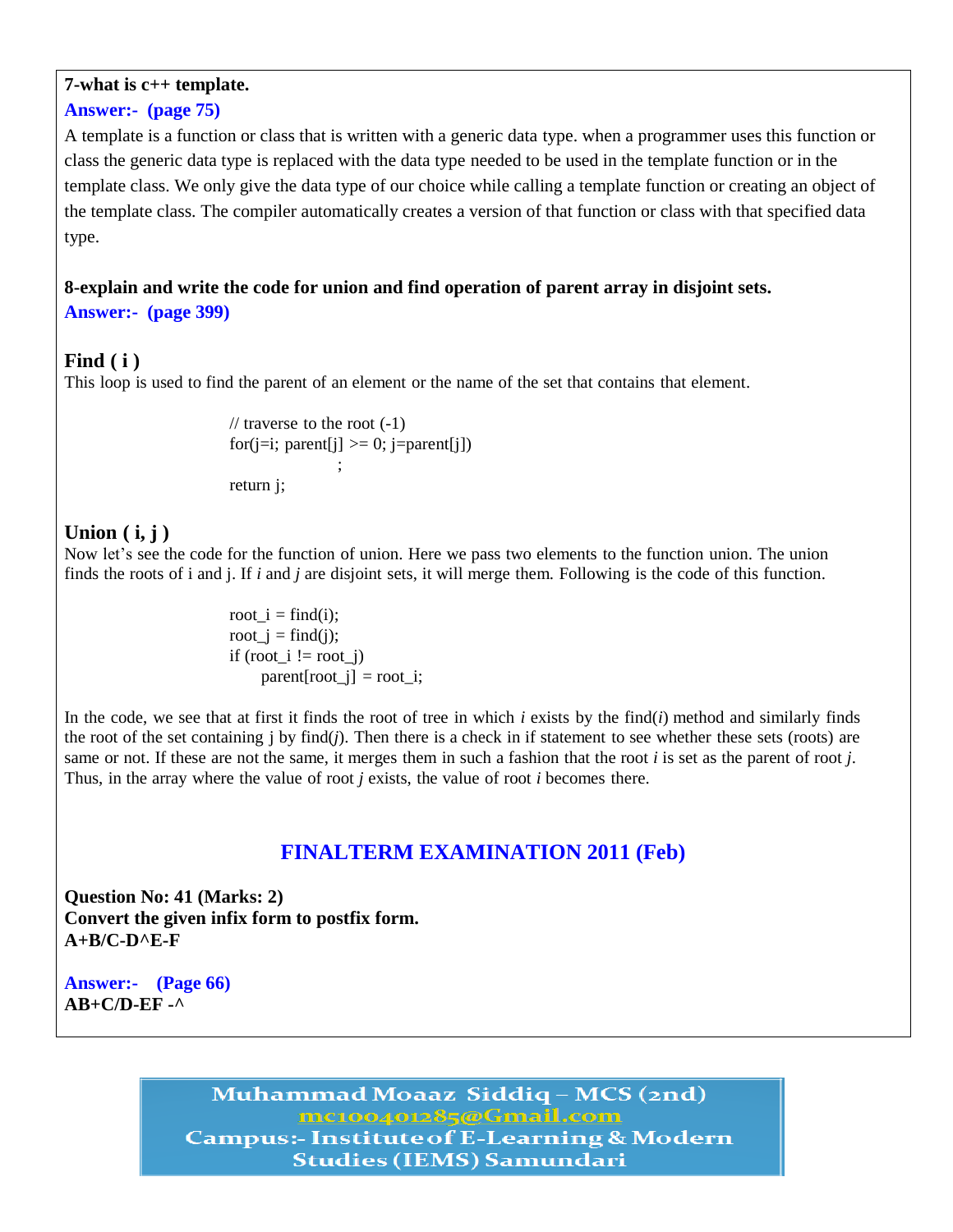#### **7-what is c++ template.**

#### **Answer:- (page 75)**

A template is a function or class that is written with a generic data type. when a programmer uses this function or class the generic data type is replaced with the data type needed to be used in the template function or in the template class. We only give the data type of our choice while calling a template function or creating an object of the template class. The compiler automatically creates a version of that function or class with that specified data type.

#### **8-explain and write the code for union and find operation of parent array in disjoint sets. Answer:- (page 399)**

#### **Find ( i )**

This loop is used to find the parent of an element or the name of the set that contains that element.

// traverse to the root  $(-1)$ for( $j=i$ ; parent $[j] \ge 0$ ;  $j=parent[j]$ ) ; return j;

#### **Union ( i, j )**

Now let's see the code for the function of union. Here we pass two elements to the function union. The union finds the roots of i and j. If *i* and *j* are disjoint sets, it will merge them. Following is the code of this function.

> root  $i = \text{find}(i)$ ; root  $i = \text{find}(i)$ ; if  $(root_i != root_j)$  $parent[root_i] = root_i;$

In the code, we see that at first it finds the root of tree in which  $i$  exists by the find $(i)$  method and similarly finds the root of the set containing j by find(*j*). Then there is a check in if statement to see whether these sets (roots) are same or not. If these are not the same, it merges them in such a fashion that the root *i* is set as the parent of root *j*. Thus, in the array where the value of root *j* exists, the value of root *i* becomes there.

## **FINALTERM EXAMINATION 2011 (Feb)**

**Question No: 41 (Marks: 2) Convert the given infix form to postfix form. A+B/C-D^E-F**

**Answer:- (Page 66) AB+C/D-EF -^**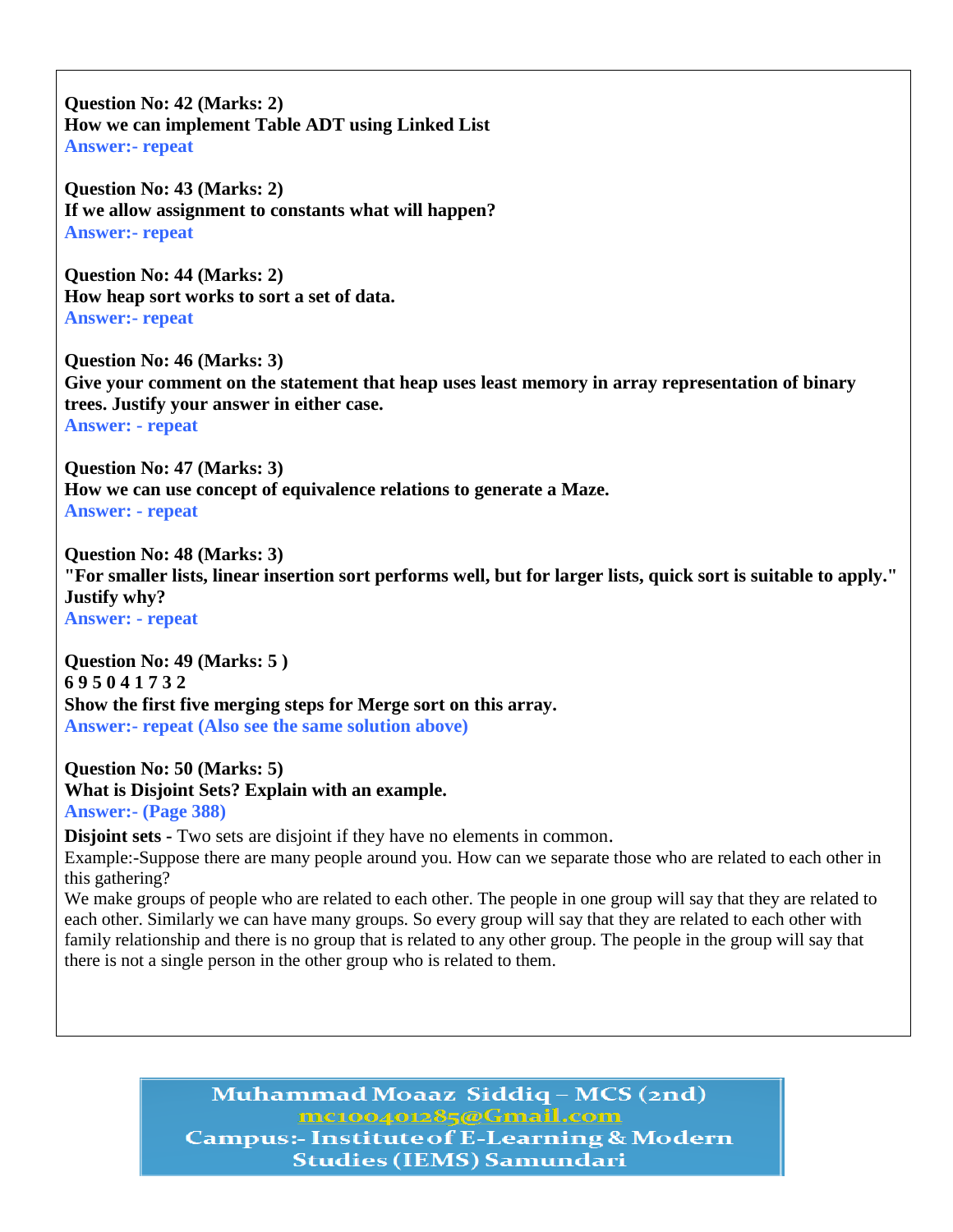**Question No: 42 (Marks: 2) How we can implement Table ADT using Linked List Answer:- repeat**

**Question No: 43 (Marks: 2) If we allow assignment to constants what will happen? Answer:- repeat**

**Question No: 44 (Marks: 2) How heap sort works to sort a set of data. Answer:- repeat**

**Question No: 46 (Marks: 3) Give your comment on the statement that heap uses least memory in array representation of binary trees. Justify your answer in either case. Answer: - repeat**

**Question No: 47 (Marks: 3) How we can use concept of equivalence relations to generate a Maze. Answer: - repeat**

**Question No: 48 (Marks: 3) "For smaller lists, linear insertion sort performs well, but for larger lists, quick sort is suitable to apply." Justify why? Answer: - repeat**

**Question No: 49 (Marks: 5 ) 6 9 5 0 4 1 7 3 2 Show the first five merging steps for Merge sort on this array. Answer:- repeat (Also see the same solution above)**

**Question No: 50 (Marks: 5) What is Disjoint Sets? Explain with an example. Answer:- (Page 388)**

**Disjoint sets -** Two sets are disjoint if they have no elements in common. Example:-Suppose there are many people around you. How can we separate those who are related to each other in this gathering?

We make groups of people who are related to each other. The people in one group will say that they are related to each other. Similarly we can have many groups. So every group will say that they are related to each other with family relationship and there is no group that is related to any other group. The people in the group will say that there is not a single person in the other group who is related to them.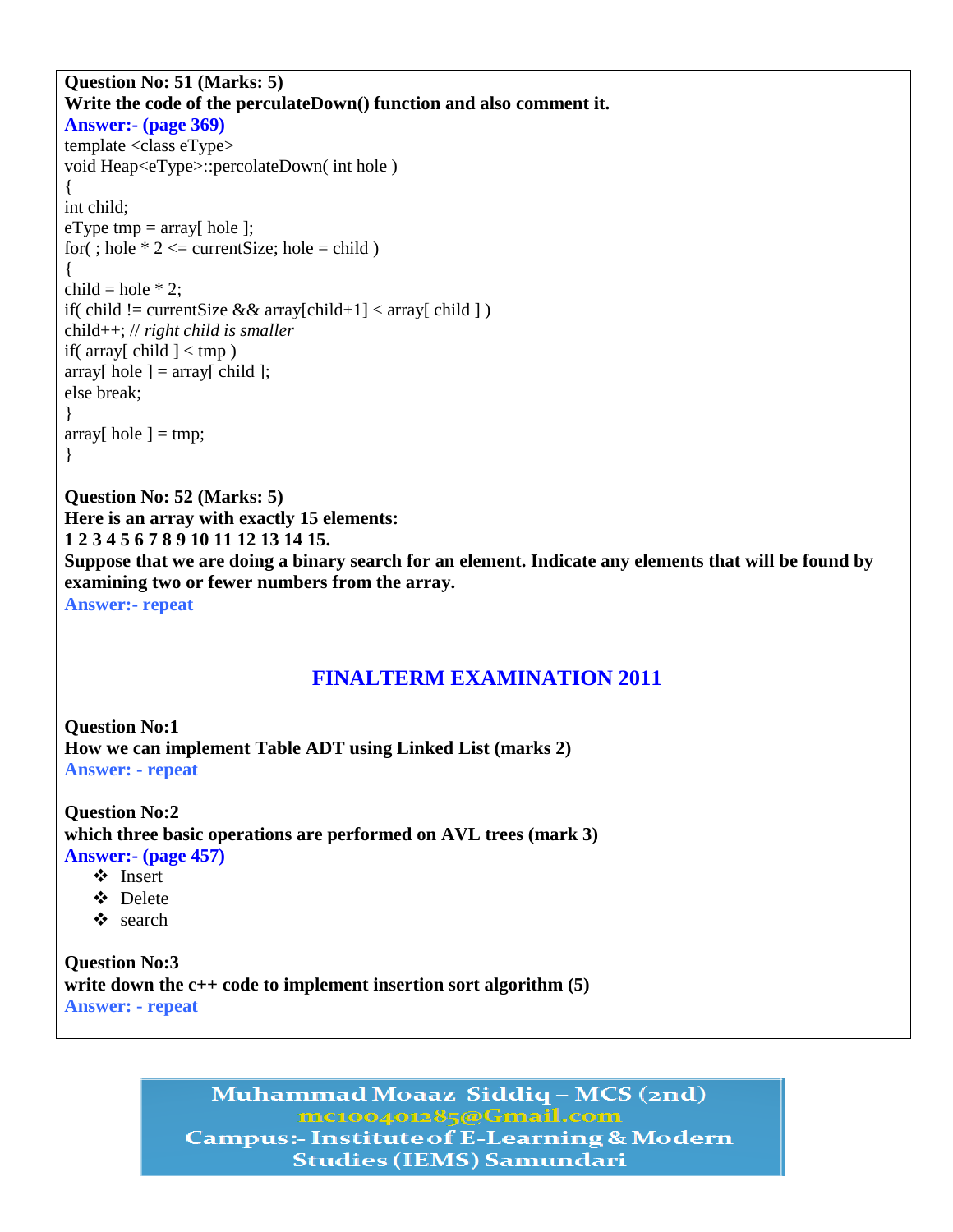```
Question No: 51 (Marks: 5) 
Write the code of the perculateDown() function and also comment it.
Answer:- (page 369)
template <class eType>
void Heap<eType>::percolateDown( int hole )
{
int child;
eType tmp = \arctan \left( \text{hole} \right);
for(; hole * 2 \le current Size; hole = child)
{
child = hole * 2;
if( child != currentSize &&aray[child+1] < aray[child])
child++; // right child is smaller
if( array[ child \vert < tmp )
array[ hole ] = \text{array}[ child ];
else break;
}
array[ hole ] = tmp;
}
Question No: 52 (Marks: 5) 
Here is an array with exactly 15 elements:
```
**examining two or fewer numbers from the array. Answer:- repeat**

## **FINALTERM EXAMINATION 2011**

**Suppose that we are doing a binary search for an element. Indicate any elements that will be found by** 

**Question No:1 How we can implement Table ADT using Linked List (marks 2) Answer: - repeat**

**Question No:2 which three basic operations are performed on AVL trees (mark 3) Answer:- (page 457)**

Insert

**1 2 3 4 5 6 7 8 9 10 11 12 13 14 15.**

- Delete
- search

**Question No:3 write down the c++ code to implement insertion sort algorithm (5) Answer: - repeat**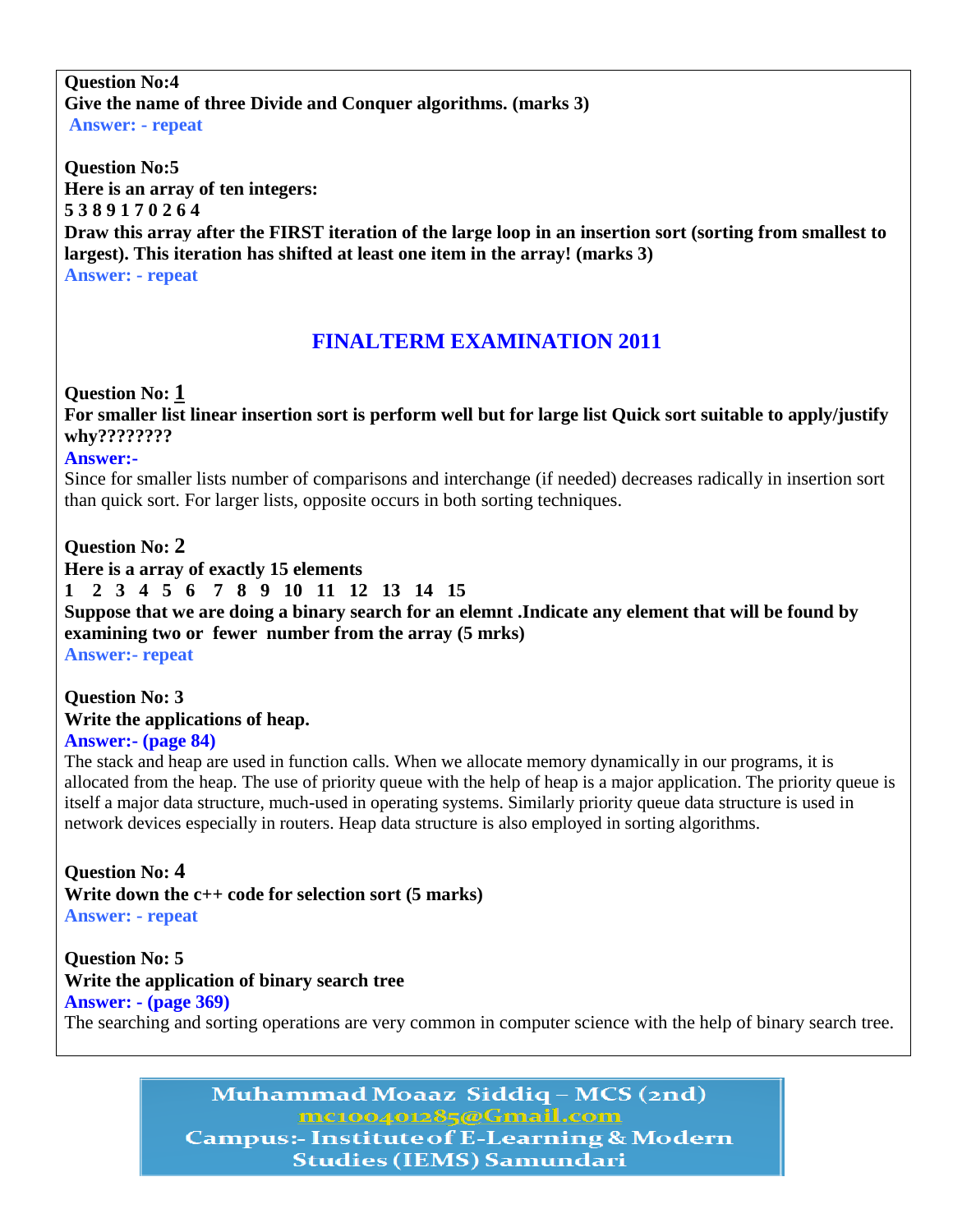#### **Question No:4 Give the name of three Divide and Conquer algorithms. (marks 3) Answer: - repeat**

**Question No:5 Here is an array of ten integers: 5 3 8 9 1 7 0 2 6 4 Draw this array after the FIRST iteration of the large loop in an insertion sort (sorting from smallest to largest). This iteration has shifted at least one item in the array! (marks 3) Answer: - repeat**

# **FINALTERM EXAMINATION 2011**

### **Question No: 1**

**For smaller list linear insertion sort is perform well but for large list Quick sort suitable to apply/justify why????????**

#### **Answer:-**

Since for smaller lists number of comparisons and interchange (if needed) decreases radically in insertion sort than quick sort. For larger lists, opposite occurs in both sorting techniques.

### **Question No: 2**

**Here is a array of exactly 15 elements**

**1 2 3 4 5 6 7 8 9 10 11 12 13 14 15**

**Suppose that we are doing a binary search for an elemnt .Indicate any element that will be found by examining two or fewer number from the array (5 mrks)**

**Answer:- repeat**

#### **Question No: 3 Write the applications of heap. Answer:- (page 84)**

The stack and heap are used in function calls. When we allocate memory dynamically in our programs, it is allocated from the heap. The use of priority queue with the help of heap is a major application. The priority queue is itself a major data structure, much-used in operating systems. Similarly priority queue data structure is used in network devices especially in routers. Heap data structure is also employed in sorting algorithms.

**Question No: 4 Write down the c++ code for selection sort (5 marks) Answer: - repeat**

**Question No: 5 Write the application of binary search tree Answer: - (page 369)**  The searching and sorting operations are very common in computer science with the help of binary search tree.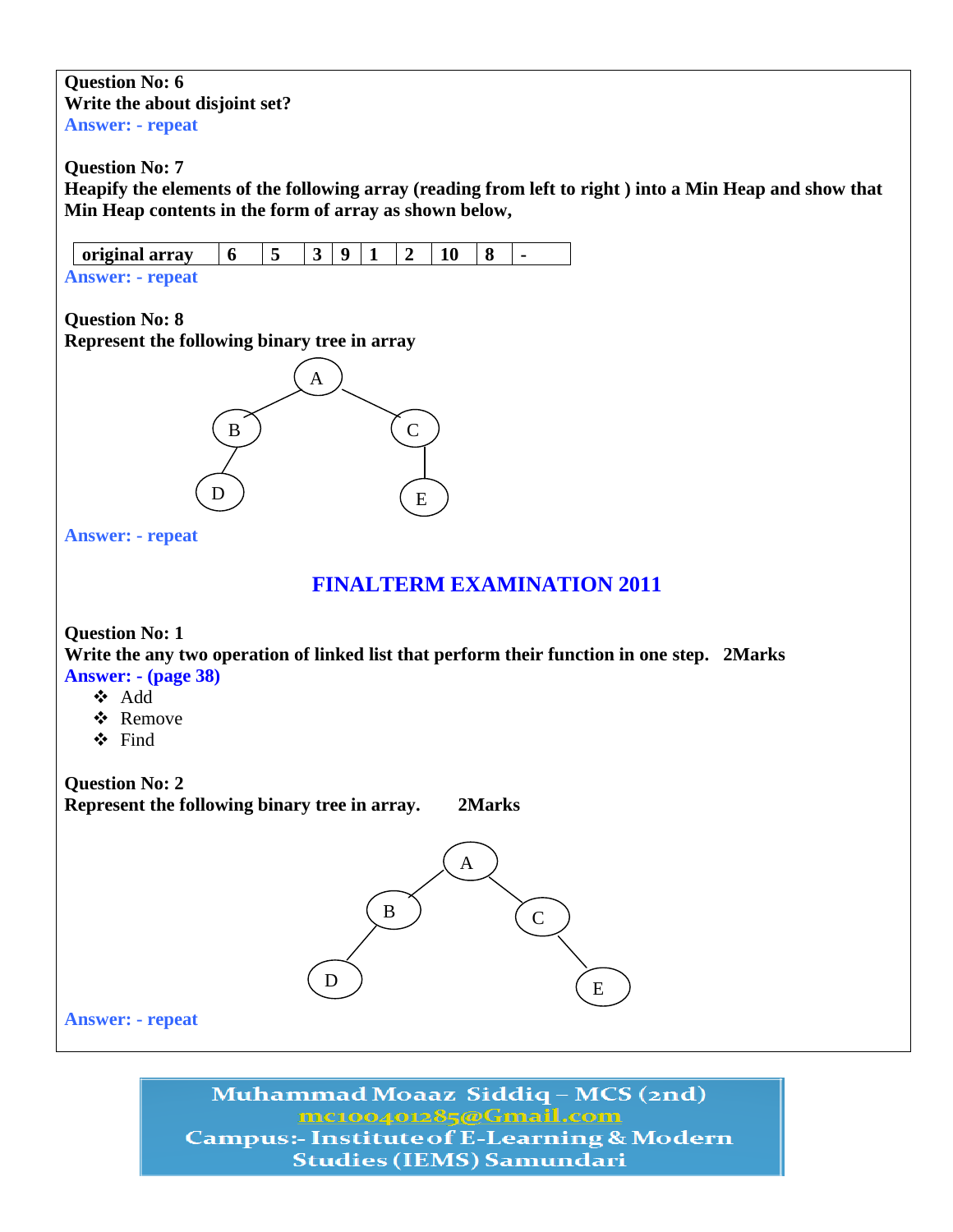#### **Question No: 6 Write the about disjoint set? Answer: - repeat**

**Question No: 7**

**Heapify the elements of the following array (reading from left to right ) into a Min Heap and show that Min Heap contents in the form of array as shown below,**

| original array          |  | Q |  |  |  |
|-------------------------|--|---|--|--|--|
| <b>Answer: - repeat</b> |  |   |  |  |  |

**Question No: 8 Represent the following binary tree in array**



**Answer: - repeat**

## **FINALTERM EXAMINATION 2011**

#### **Question No: 1**

**Write the any two operation of linked list that perform their function in one step. 2Marks Answer: - (page 38)**

- Add
- Remove
- $\triangle$  Find

**Question No: 2**

**Represent the following binary tree in array. 2Marks** 

A  $\left( \begin{array}{c} B \end{array} \right) \qquad \left( \begin{array}{c} C \end{array} \right)$  $\begin{array}{c} \text{D} \\ \text{E} \end{array}$  (E

**Answer: - repeat**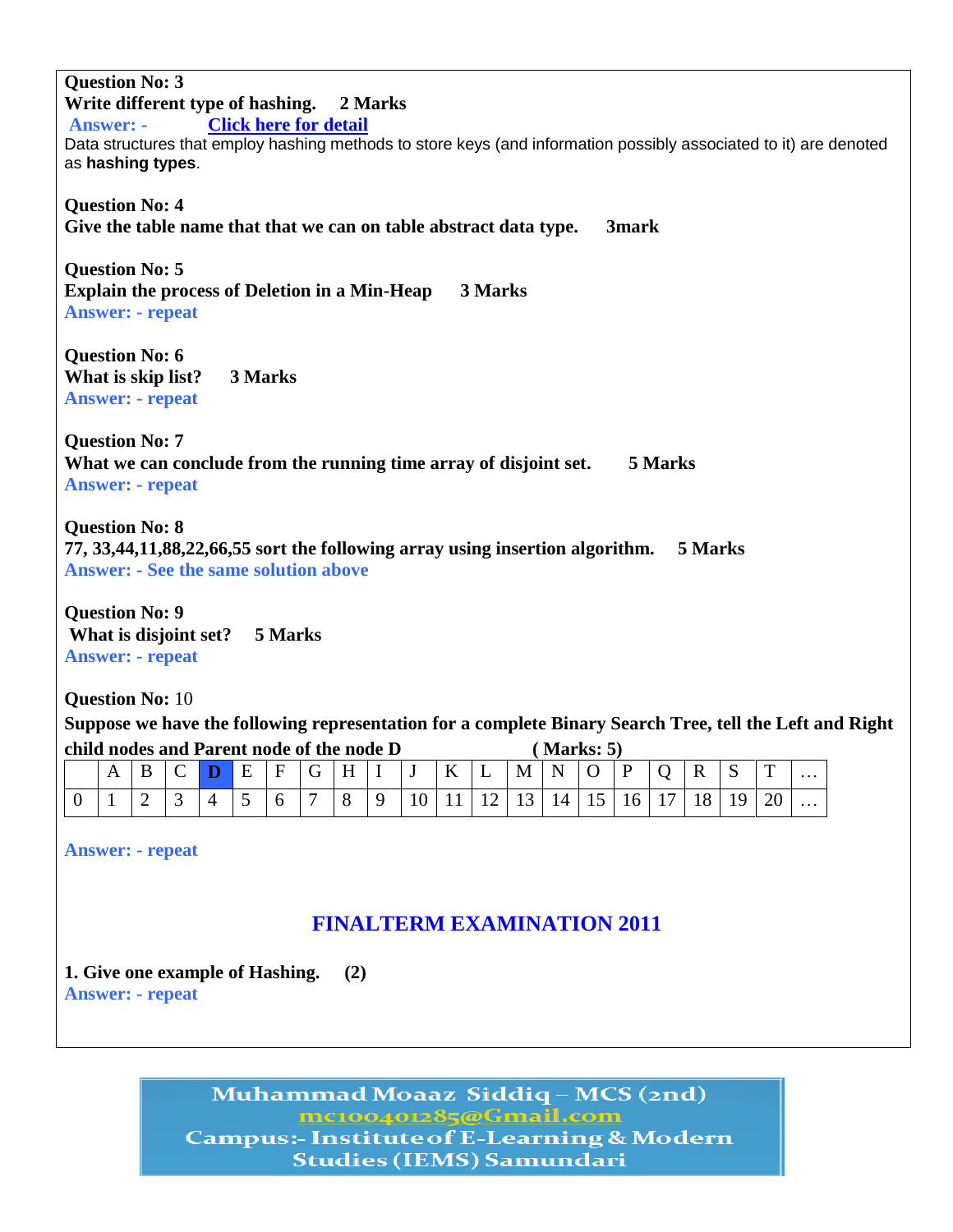**Question No: 3 Write different type of hashing. 2 Marks Answer: - [Click here for detail](http://www.leda-tutorial.org/en/unofficial/ch03s03.html)** Data structures that employ hashing methods to store keys (and information possibly associated to it) are denoted as **hashing types**. **Question No: 4 Give the table name that that we can on table abstract data type. 3mark Question No: 5 Explain the process of Deletion in a Min-Heap 3 Marks Answer: - repeat Question No: 6 What is skip list? 3 Marks Answer: - repeat Question No: 7 What we can conclude from the running time array of disjoint set. 5 Marks Answer: - repeat Question No: 8 77, 33,44,11,88,22,66,55 sort the following array using insertion algorithm. 5 Marks Answer: - See the same solution above Question No: 9 What is disjoint set? 5 Marks Answer: - repeat Question No:** 10 **Suppose we have the following representation for a complete Binary Search Tree, tell the Left and Right** 

**child nodes and Parent node of the node D ( Marks: 5)**

| A | B | $C$ D    | E | ' F | $\overline{G}$ | H |     | $\bf K$ | $\mathbf{L}$ | M | $\mathbf{N}$                              | $\overline{O}$  | P | $\mathbf R$         | $\mathbf{D}$ | $\mathbf{\mathbf{\mathsf{\Gamma}}}$ | $\cdots$ |
|---|---|----------|---|-----|----------------|---|-----|---------|--------------|---|-------------------------------------------|-----------------|---|---------------------|--------------|-------------------------------------|----------|
|   | ∼ | <u>ب</u> |   |     | $\mathbf{r}$   | 8 | l Q |         |              |   | $10 \mid 11 \mid 12 \mid 13 \mid 14 \mid$ | 15 <sup>1</sup> |   | $16$   17   18   19 |              | 20                                  | $\cdots$ |

**Answer: - repeat**

# **FINALTERM EXAMINATION 2011**

**1. Give one example of Hashing. (2) Answer: - repeat**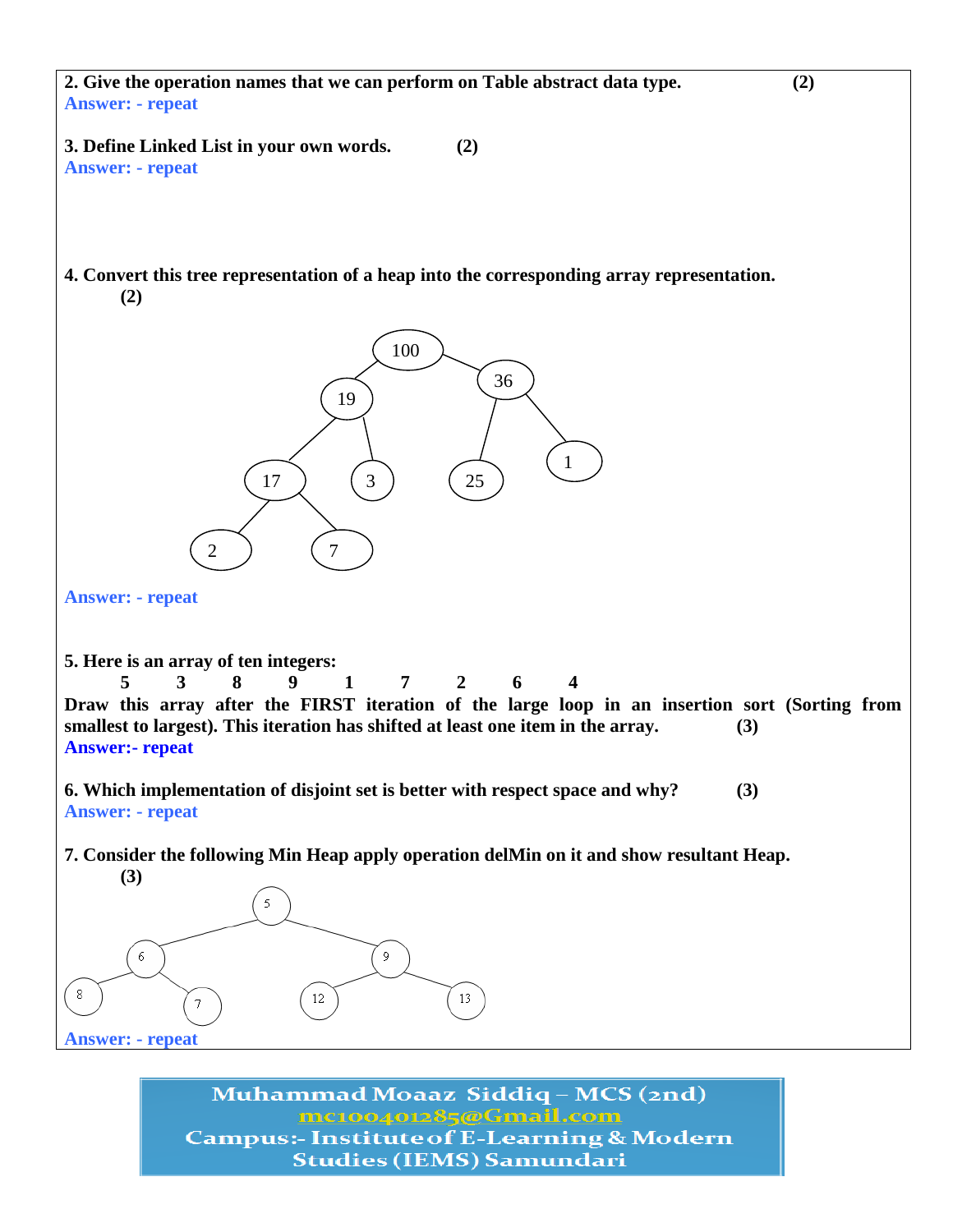**2. Give the operation names that we can perform on Table abstract data type. (2) Answer: - repeat**

**3. Define Linked List in your own words. (2) Answer: - repeat**

**4. Convert this tree representation of a heap into the corresponding array representation. (2)**



**Answer: - repeat**

**5. Here is an array of ten integers:**

**5 3 8 9 1 7 2 6 4**

**Draw this array after the FIRST iteration of the large loop in an insertion sort (Sorting from smallest to largest). This iteration has shifted at least one item in the array. (3) Answer:- repeat**

**6. Which implementation of disjoint set is better with respect space and why? (3) Answer: - repeat**

**7. Consider the following Min Heap apply operation delMin on it and show resultant Heap. (3)**



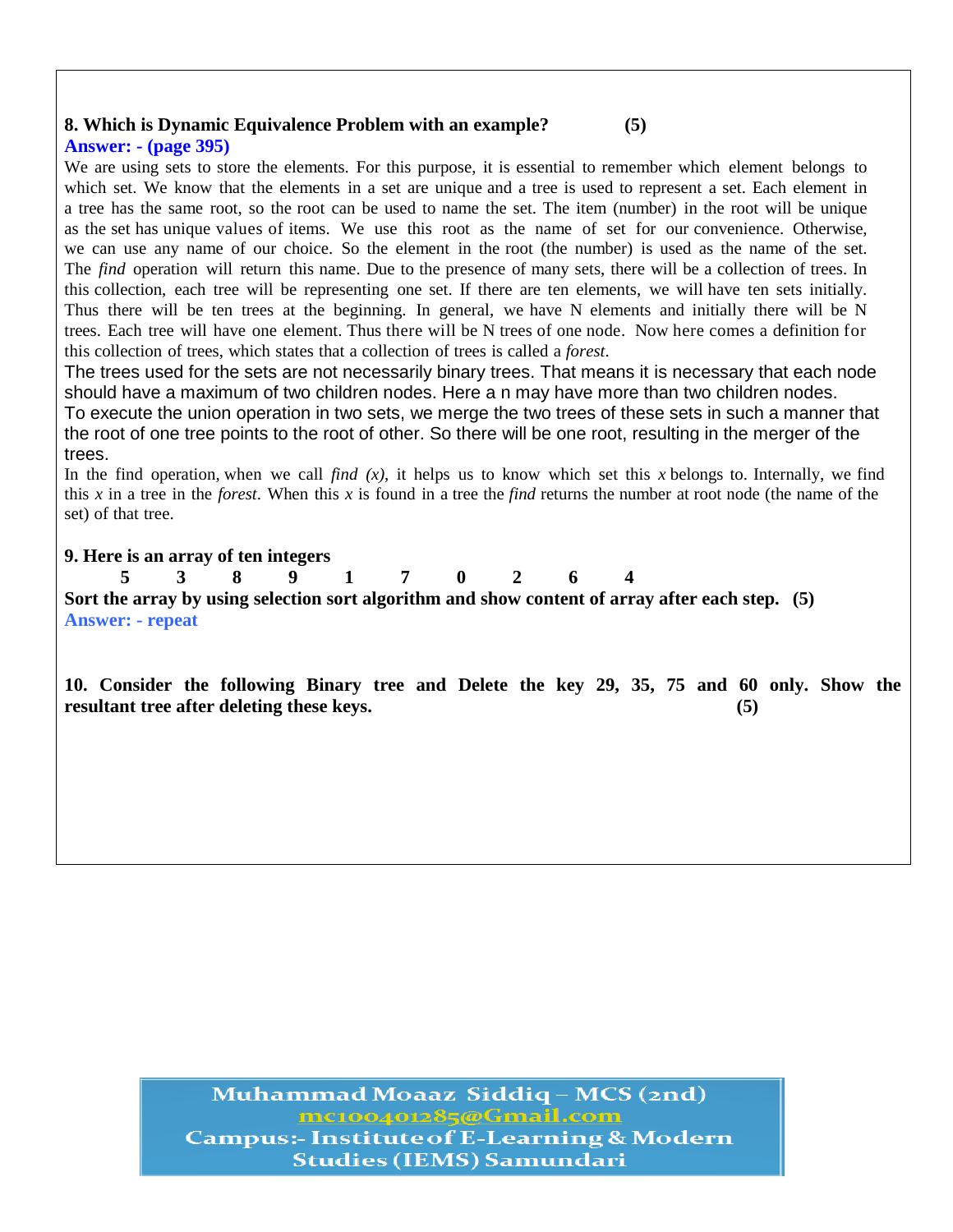## **8. Which is Dynamic Equivalence Problem with an example? (5)**

#### **Answer: - (page 395)**

We are using sets to store the elements. For this purpose, it is essential to remember which element belongs to which set. We know that the elements in a set are unique and a tree is used to represent a set. Each element in a tree has the same root, so the root can be used to name the set. The item (number) in the root will be unique as the set has unique values of items. We use this root as the name of set for our convenience. Otherwise, we can use any name of our choice. So the element in the root (the number) is used as the name of the set. The *find* operation will return this name. Due to the presence of many sets, there will be a collection of trees. In this collection, each tree will be representing one set. If there are ten elements, we will have ten sets initially. Thus there will be ten trees at the beginning. In general, we have N elements and initially there will be N trees. Each tree will have one element. Thus there will be N trees of one node. Now here comes a definition for this collection of trees, which states that a collection of trees is called a *forest*.

The trees used for the sets are not necessarily binary trees. That means it is necessary that each node should have a maximum of two children nodes. Here a n may have more than two children nodes. To execute the union operation in two sets, we merge the two trees of these sets in such a manner that the root of one tree points to the root of other. So there will be one root, resulting in the merger of the trees.

In the find operation, when we call *find*  $(x)$ , it helps us to know which set this *x* belongs to. Internally, we find this *x* in a tree in the *forest*. When this *x* is found in a tree the *find* returns the number at root node (the name of the set) of that tree.

#### **9. Here is an array of ten integers**

**5 3 8 9 1 7 0 2 6 4 Sort the array by using selection sort algorithm and show content of array after each step. (5) Answer: - repeat**

**10. Consider the following Binary tree and Delete the key 29, 35, 75 and 60 only. Show the resultant tree after deleting these keys. (5)**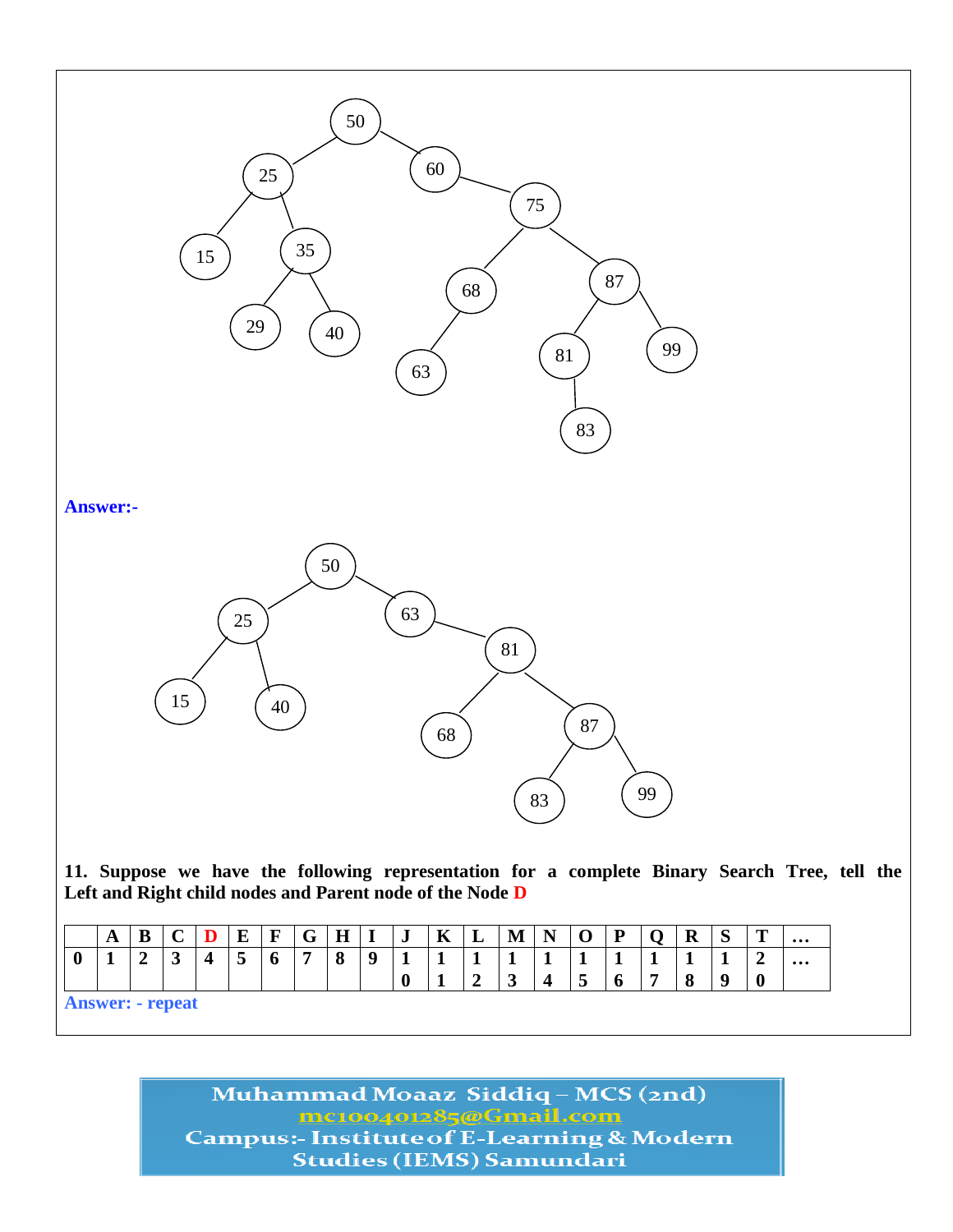

**Answer: - repeat**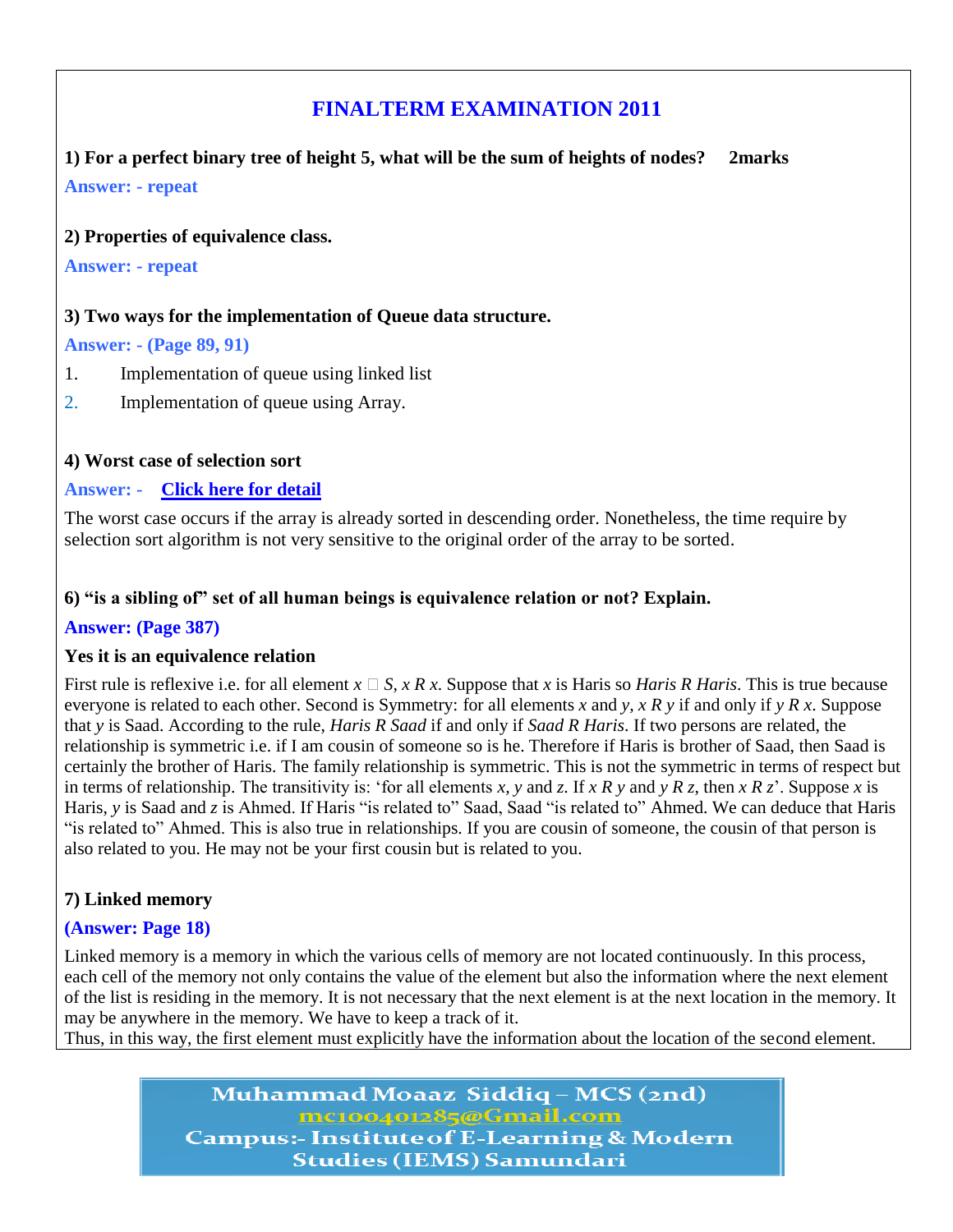# **FINALTERM EXAMINATION 2011**

**1) For a perfect binary tree of height 5, what will be the sum of heights of nodes? 2marks Answer: - repeat**

#### **2) Properties of equivalence class.**

**Answer: - repeat**

#### **3) Two ways for the implementation of Queue data structure.**

#### **Answer: - (Page 89, 91)**

- 1. Implementation of queue using linked list
- 2. Implementation of queue using Array.

#### **4) Worst case of selection sort**

#### **Answer: - [Click here for detail](http://www.personal.kent.edu/~rmuhamma/Algorithms/MyAlgorithms/Sorting/selectionSort.htm)**

The worst case occurs if the array is already sorted in descending order. Nonetheless, the time require by selection sort algorithm is not very sensitive to the original order of the array to be sorted.

#### **6) "is a sibling of" set of all human beings is equivalence relation or not? Explain.**

#### **Answer: (Page 387)**

#### **Yes it is an equivalence relation**

First rule is reflexive i.e. for all element  $x \square S$ ,  $x R x$ . Suppose that  $x$  is Haris so *Haris R Haris*. This is true because everyone is related to each other. Second is Symmetry: for all elements *x* and *y, x R y* if and only if *y R x*. Suppose that *y* is Saad. According to the rule, *Haris R Saad* if and only if *Saad R Haris*. If two persons are related, the relationship is symmetric i.e. if I am cousin of someone so is he. Therefore if Haris is brother of Saad, then Saad is certainly the brother of Haris. The family relationship is symmetric. This is not the symmetric in terms of respect but in terms of relationship. The transitivity is: ‗for all elements *x, y* and *z*. If *x R y* and *y R z*, then *x R z*'. Suppose *x* is Haris, *y* is Saad and *z* is Ahmed. If Haris "is related to" Saad, Saad "is related to" Ahmed. We can deduce that Haris ―is related to‖ Ahmed. This is also true in relationships. If you are cousin of someone, the cousin of that person is also related to you. He may not be your first cousin but is related to you.

#### **7) Linked memory**

#### **(Answer: Page 18)**

Linked memory is a memory in which the various cells of memory are not located continuously. In this process, each cell of the memory not only contains the value of the element but also the information where the next element of the list is residing in the memory. It is not necessary that the next element is at the next location in the memory. It may be anywhere in the memory. We have to keep a track of it.

Thus, in this way, the first element must explicitly have the information about the location of the second element.